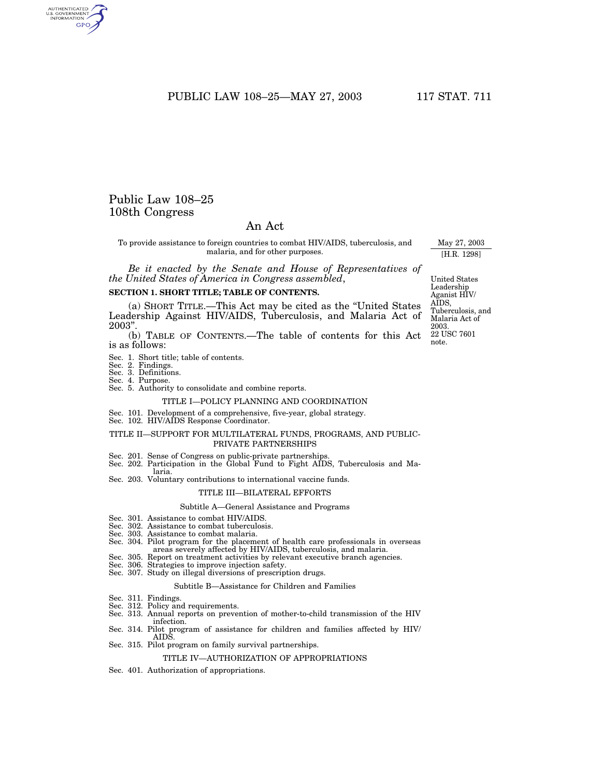# PUBLIC LAW 108-25-MAY 27, 2003 117 STAT. 711

# Public Law 108–25 108th Congress

# An Act

To provide assistance to foreign countries to combat HIV/AIDS, tuberculosis, and malaria, and for other purposes.

*Be it enacted by the Senate and House of Representatives of the United States of America in Congress assembled*,

#### **SECTION 1. SHORT TITLE; TABLE OF CONTENTS.**

(a) SHORT TITLE.—This Act may be cited as the ''United States Leadership Against HIV/AIDS, Tuberculosis, and Malaria Act of 2003''.

(b) TABLE OF CONTENTS.—The table of contents for this Act is as follows:

- Sec. 1. Short title; table of contents.
- Sec. 2. Findings.
- Sec. 3. Definitions.
- Sec. 4. Purpose. Sec. 5. Authority to consolidate and combine reports.

#### TITLE I—POLICY PLANNING AND COORDINATION

- Sec. 101. Development of a comprehensive, five-year, global strategy. Sec. 102. HIV/AIDS Response Coordinator.
- 

# TITLE II—SUPPORT FOR MULTILATERAL FUNDS, PROGRAMS, AND PUBLIC-PRIVATE PARTNERSHIPS

- 
- Sec. 201. Sense of Congress on public-private partnerships. Sec. 202. Participation in the Global Fund to Fight AIDS, Tuberculosis and Malaria.
- Sec. 203. Voluntary contributions to international vaccine funds.

#### TITLE III—BILATERAL EFFORTS

#### Subtitle A—General Assistance and Programs

- Sec. 301. Assistance to combat HIV/AIDS
- Sec. 302. Assistance to combat tuberculosis.
- Sec. 303. Assistance to combat malaria.
- Sec. 304. Pilot program for the placement of health care professionals in overseas areas severely affected by HIV/AIDS, tuberculosis, and malaria.
- Sec. 305. Report on treatment activities by relevant executive branch agencies.
- Sec. 306. Strategies to improve injection safety. Sec. 307. Study on illegal diversions of prescription drugs.
- 

#### Subtitle B—Assistance for Children and Families

- Sec. 311. Findings.
- Sec. 312. Policy and requirements.
- Sec. 313. Annual reports on prevention of mother-to-child transmission of the HIV infection.
- Sec. 314. Pilot program of assistance for children and families affected by HIV/ AIDS.
- Sec. 315. Pilot program on family survival partnerships.

# TITLE IV—AUTHORIZATION OF APPROPRIATIONS

Sec. 401. Authorization of appropriations.

22 USC 7601 note. United States Leadership Aganist HIV/ AIDS, Tuberculosis, and Malaria Act of 2003.

May 27, 2003 [H.R. 1298]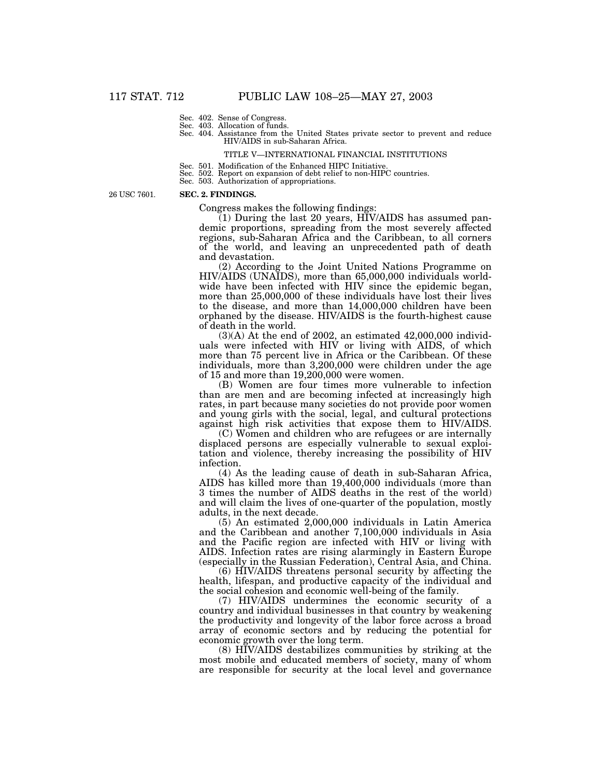Sec. 402. Sense of Congress.

Sec. 403. Allocation of funds.

Sec. 404. Assistance from the United States private sector to prevent and reduce HIV/AIDS in sub-Saharan Africa.

#### TITLE V—INTERNATIONAL FINANCIAL INSTITUTIONS

- Sec. 501. Modification of the Enhanced HIPC Initiative.
- Sec. 502. Report on expansion of debt relief to non-HIPC countries.
- Sec. 503. Authorization of appropriations.

26 USC 7601.

# **SEC. 2. FINDINGS.**

Congress makes the following findings:

(1) During the last 20 years, HIV/AIDS has assumed pandemic proportions, spreading from the most severely affected regions, sub-Saharan Africa and the Caribbean, to all corners of the world, and leaving an unprecedented path of death and devastation.

(2) According to the Joint United Nations Programme on HIV/AIDS (UNAIDS), more than 65,000,000 individuals worldwide have been infected with HIV since the epidemic began, more than 25,000,000 of these individuals have lost their lives to the disease, and more than 14,000,000 children have been orphaned by the disease. HIV/AIDS is the fourth-highest cause of death in the world.

 $(3)(A)$  At the end of 2002, an estimated  $42,000,000$  individuals were infected with HIV or living with AIDS, of which more than 75 percent live in Africa or the Caribbean. Of these individuals, more than 3,200,000 were children under the age of 15 and more than 19,200,000 were women.

(B) Women are four times more vulnerable to infection than are men and are becoming infected at increasingly high rates, in part because many societies do not provide poor women and young girls with the social, legal, and cultural protections against high risk activities that expose them to HIV/AIDS.

(C) Women and children who are refugees or are internally displaced persons are especially vulnerable to sexual exploitation and violence, thereby increasing the possibility of HIV infection.

(4) As the leading cause of death in sub-Saharan Africa, AIDS has killed more than 19,400,000 individuals (more than 3 times the number of AIDS deaths in the rest of the world) and will claim the lives of one-quarter of the population, mostly adults, in the next decade.

(5) An estimated 2,000,000 individuals in Latin America and the Caribbean and another 7,100,000 individuals in Asia and the Pacific region are infected with HIV or living with AIDS. Infection rates are rising alarmingly in Eastern Europe (especially in the Russian Federation), Central Asia, and China.

(6) HIV/AIDS threatens personal security by affecting the health, lifespan, and productive capacity of the individual and the social cohesion and economic well-being of the family.

(7) HIV/AIDS undermines the economic security of a country and individual businesses in that country by weakening the productivity and longevity of the labor force across a broad array of economic sectors and by reducing the potential for economic growth over the long term.

(8) HIV/AIDS destabilizes communities by striking at the most mobile and educated members of society, many of whom are responsible for security at the local level and governance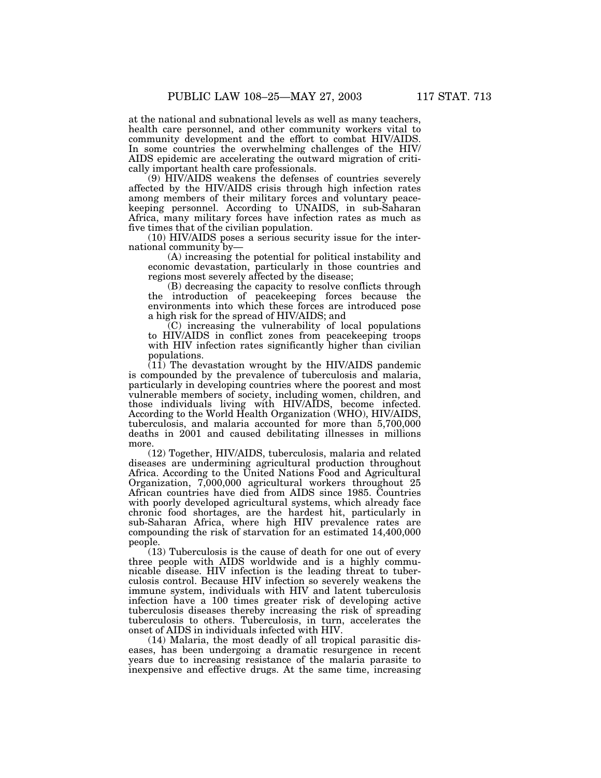at the national and subnational levels as well as many teachers, health care personnel, and other community workers vital to community development and the effort to combat HIV/AIDS. In some countries the overwhelming challenges of the HIV/ AIDS epidemic are accelerating the outward migration of critically important health care professionals.

(9) HIV/AIDS weakens the defenses of countries severely affected by the HIV/AIDS crisis through high infection rates among members of their military forces and voluntary peacekeeping personnel. According to UNAIDS, in sub-Saharan Africa, many military forces have infection rates as much as five times that of the civilian population.

(10) HIV/AIDS poses a serious security issue for the international community by—

(A) increasing the potential for political instability and economic devastation, particularly in those countries and regions most severely affected by the disease;

(B) decreasing the capacity to resolve conflicts through the introduction of peacekeeping forces because the environments into which these forces are introduced pose a high risk for the spread of HIV/AIDS; and

(C) increasing the vulnerability of local populations to HIV/AIDS in conflict zones from peacekeeping troops with HIV infection rates significantly higher than civilian populations.

(11) The devastation wrought by the HIV/AIDS pandemic is compounded by the prevalence of tuberculosis and malaria, particularly in developing countries where the poorest and most vulnerable members of society, including women, children, and those individuals living with HIV/AIDS, become infected. According to the World Health Organization (WHO), HIV/AIDS tuberculosis, and malaria accounted for more than 5,700,000 deaths in 2001 and caused debilitating illnesses in millions more.

(12) Together, HIV/AIDS, tuberculosis, malaria and related diseases are undermining agricultural production throughout Africa. According to the United Nations Food and Agricultural Organization, 7,000,000 agricultural workers throughout 25 African countries have died from AIDS since 1985. Countries with poorly developed agricultural systems, which already face chronic food shortages, are the hardest hit, particularly in sub-Saharan Africa, where high HIV prevalence rates are compounding the risk of starvation for an estimated 14,400,000 people.

(13) Tuberculosis is the cause of death for one out of every three people with AIDS worldwide and is a highly communicable disease. HIV infection is the leading threat to tuberculosis control. Because HIV infection so severely weakens the immune system, individuals with HIV and latent tuberculosis infection have a 100 times greater risk of developing active tuberculosis diseases thereby increasing the risk of spreading tuberculosis to others. Tuberculosis, in turn, accelerates the onset of AIDS in individuals infected with HIV.

(14) Malaria, the most deadly of all tropical parasitic diseases, has been undergoing a dramatic resurgence in recent years due to increasing resistance of the malaria parasite to inexpensive and effective drugs. At the same time, increasing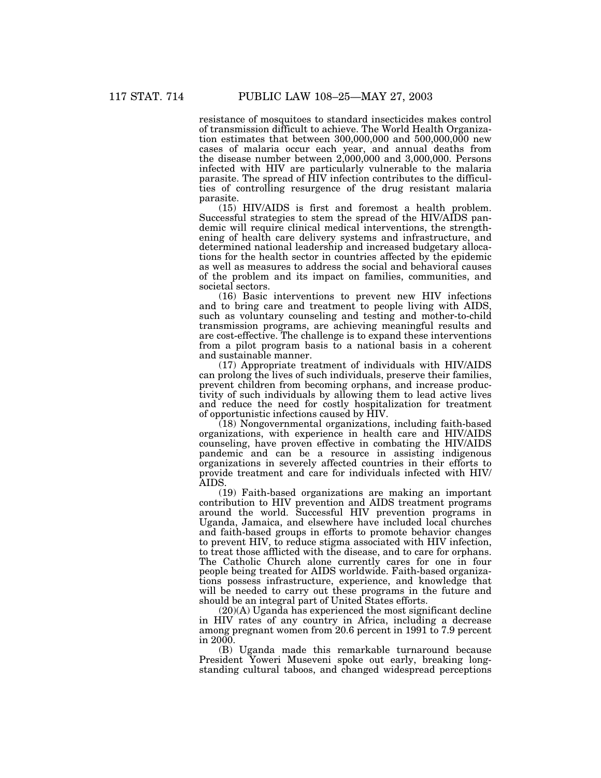resistance of mosquitoes to standard insecticides makes control of transmission difficult to achieve. The World Health Organization estimates that between  $300,000,000$  and  $500,000,000$  new cases of malaria occur each year, and annual deaths from the disease number between 2,000,000 and 3,000,000. Persons infected with HIV are particularly vulnerable to the malaria parasite. The spread of HIV infection contributes to the difficulties of controlling resurgence of the drug resistant malaria parasite.

(15) HIV/AIDS is first and foremost a health problem. Successful strategies to stem the spread of the HIV/AIDS pandemic will require clinical medical interventions, the strengthening of health care delivery systems and infrastructure, and determined national leadership and increased budgetary allocations for the health sector in countries affected by the epidemic as well as measures to address the social and behavioral causes of the problem and its impact on families, communities, and societal sectors.

(16) Basic interventions to prevent new HIV infections and to bring care and treatment to people living with AIDS, such as voluntary counseling and testing and mother-to-child transmission programs, are achieving meaningful results and are cost-effective. The challenge is to expand these interventions from a pilot program basis to a national basis in a coherent and sustainable manner.

(17) Appropriate treatment of individuals with HIV/AIDS can prolong the lives of such individuals, preserve their families, prevent children from becoming orphans, and increase productivity of such individuals by allowing them to lead active lives and reduce the need for costly hospitalization for treatment of opportunistic infections caused by HIV.

(18) Nongovernmental organizations, including faith-based organizations, with experience in health care and HIV/AIDS counseling, have proven effective in combating the HIV/AIDS pandemic and can be a resource in assisting indigenous organizations in severely affected countries in their efforts to provide treatment and care for individuals infected with HIV/ AIDS.

(19) Faith-based organizations are making an important contribution to HIV prevention and AIDS treatment programs around the world. Successful HIV prevention programs in Uganda, Jamaica, and elsewhere have included local churches and faith-based groups in efforts to promote behavior changes to prevent HIV, to reduce stigma associated with HIV infection, to treat those afflicted with the disease, and to care for orphans. The Catholic Church alone currently cares for one in four people being treated for AIDS worldwide. Faith-based organizations possess infrastructure, experience, and knowledge that will be needed to carry out these programs in the future and should be an integral part of United States efforts.

(20)(A) Uganda has experienced the most significant decline in HIV rates of any country in Africa, including a decrease among pregnant women from 20.6 percent in 1991 to 7.9 percent in 2000.

(B) Uganda made this remarkable turnaround because President Yoweri Museveni spoke out early, breaking longstanding cultural taboos, and changed widespread perceptions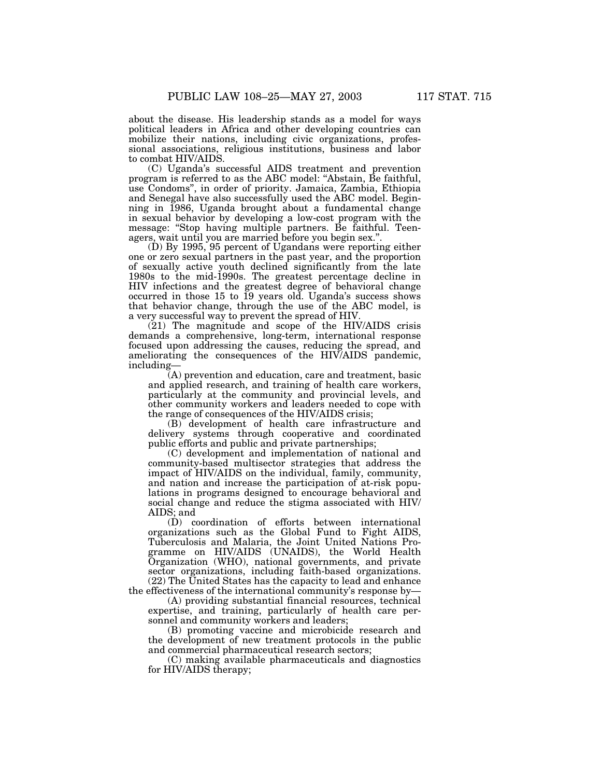about the disease. His leadership stands as a model for ways political leaders in Africa and other developing countries can mobilize their nations, including civic organizations, professional associations, religious institutions, business and labor

to combat HIV/AIDS. (C) Uganda's successful AIDS treatment and prevention program is referred to as the ABC model: ''Abstain, Be faithful, use Condoms'', in order of priority. Jamaica, Zambia, Ethiopia and Senegal have also successfully used the ABC model. Beginning in 1986, Uganda brought about a fundamental change in sexual behavior by developing a low-cost program with the message: "Stop having multiple partners. Be faithful. Teenagers, wait until you are married before you begin sex.''.

(D) By 1995, 95 percent of Ugandans were reporting either one or zero sexual partners in the past year, and the proportion of sexually active youth declined significantly from the late 1980s to the mid-1990s. The greatest percentage decline in HIV infections and the greatest degree of behavioral change occurred in those 15 to 19 years old. Uganda's success shows that behavior change, through the use of the ABC model, is a very successful way to prevent the spread of HIV.

(21) The magnitude and scope of the HIV/AIDS crisis demands a comprehensive, long-term, international response focused upon addressing the causes, reducing the spread, and ameliorating the consequences of the HIV/AIDS pandemic, including—

(A) prevention and education, care and treatment, basic and applied research, and training of health care workers, particularly at the community and provincial levels, and other community workers and leaders needed to cope with the range of consequences of the HIV/AIDS crisis;

(B) development of health care infrastructure and delivery systems through cooperative and coordinated public efforts and public and private partnerships;

(C) development and implementation of national and community-based multisector strategies that address the impact of HIV/AIDS on the individual, family, community, and nation and increase the participation of at-risk populations in programs designed to encourage behavioral and social change and reduce the stigma associated with HIV/ AIDS; and

(D) coordination of efforts between international organizations such as the Global Fund to Fight AIDS, Tuberculosis and Malaria, the Joint United Nations Programme on HIV/AIDS (UNAIDS), the World Health Organization (WHO), national governments, and private sector organizations, including faith-based organizations. (22) The United States has the capacity to lead and enhance the effectiveness of the international community's response by—

(A) providing substantial financial resources, technical expertise, and training, particularly of health care personnel and community workers and leaders;

(B) promoting vaccine and microbicide research and the development of new treatment protocols in the public and commercial pharmaceutical research sectors;

(C) making available pharmaceuticals and diagnostics for HIV/AIDS therapy;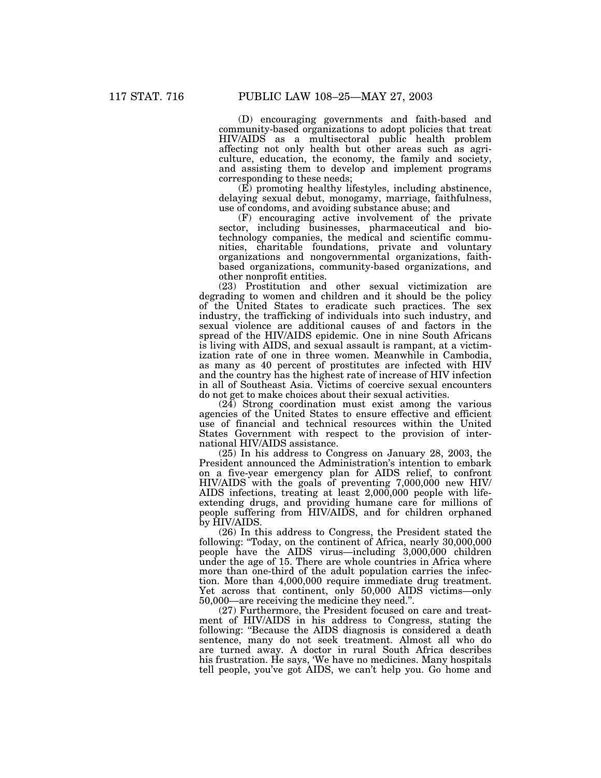(D) encouraging governments and faith-based and community-based organizations to adopt policies that treat HIV/AIDS as a multisectoral public health problem affecting not only health but other areas such as agriculture, education, the economy, the family and society, and assisting them to develop and implement programs corresponding to these needs;

(E) promoting healthy lifestyles, including abstinence, delaying sexual debut, monogamy, marriage, faithfulness, use of condoms, and avoiding substance abuse; and

(F) encouraging active involvement of the private sector, including businesses, pharmaceutical and biotechnology companies, the medical and scientific communities, charitable foundations, private and voluntary organizations and nongovernmental organizations, faithbased organizations, community-based organizations, and other nonprofit entities.

(23) Prostitution and other sexual victimization are degrading to women and children and it should be the policy of the United States to eradicate such practices. The sex industry, the trafficking of individuals into such industry, and sexual violence are additional causes of and factors in the spread of the HIV/AIDS epidemic. One in nine South Africans is living with AIDS, and sexual assault is rampant, at a victimization rate of one in three women. Meanwhile in Cambodia, as many as 40 percent of prostitutes are infected with HIV and the country has the highest rate of increase of HIV infection in all of Southeast Asia. Victims of coercive sexual encounters do not get to make choices about their sexual activities.

(24) Strong coordination must exist among the various agencies of the United States to ensure effective and efficient use of financial and technical resources within the United States Government with respect to the provision of international HIV/AIDS assistance.

(25) In his address to Congress on January 28, 2003, the President announced the Administration's intention to embark on a five-year emergency plan for AIDS relief, to confront HIV/AIDS with the goals of preventing 7,000,000 new HIV/ AIDS infections, treating at least 2,000,000 people with lifeextending drugs, and providing humane care for millions of people suffering from HIV/AIDS, and for children orphaned by HIV/AIDS.

(26) In this address to Congress, the President stated the following: ''Today, on the continent of Africa, nearly 30,000,000 people have the AIDS virus—including 3,000,000 children under the age of 15. There are whole countries in Africa where more than one-third of the adult population carries the infection. More than 4,000,000 require immediate drug treatment. Yet across that continent, only 50,000 AIDS victims—only 50,000—are receiving the medicine they need.''.

(27) Furthermore, the President focused on care and treatment of HIV/AIDS in his address to Congress, stating the following: "Because the AIDS diagnosis is considered a death sentence, many do not seek treatment. Almost all who do are turned away. A doctor in rural South Africa describes his frustration. He says, 'We have no medicines. Many hospitals tell people, you've got AIDS, we can't help you. Go home and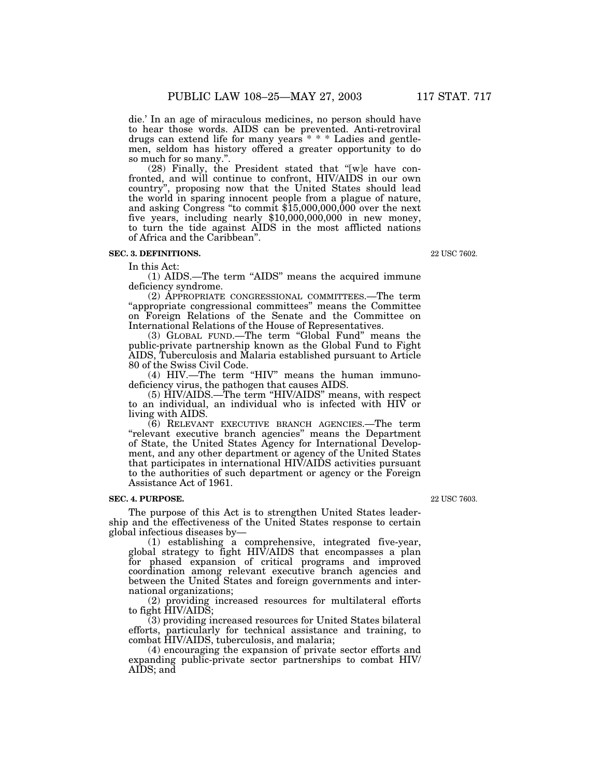die.' In an age of miraculous medicines, no person should have to hear those words. AIDS can be prevented. Anti-retroviral drugs can extend life for many years \* \* \* Ladies and gentlemen, seldom has history offered a greater opportunity to do so much for so many."

(28) Finally, the President stated that ''[w]e have confronted, and will continue to confront, HIV/AIDS in our own country'', proposing now that the United States should lead the world in sparing innocent people from a plague of nature, and asking Congress ''to commit \$15,000,000,000 over the next five years, including nearly \$10,000,000,000 in new money, to turn the tide against AIDS in the most afflicted nations of Africa and the Caribbean''.

# **SEC. 3. DEFINITIONS.**

In this Act:

(1) AIDS.—The term ''AIDS'' means the acquired immune deficiency syndrome.

(2) APPROPRIATE CONGRESSIONAL COMMITTEES.—The term ''appropriate congressional committees'' means the Committee on Foreign Relations of the Senate and the Committee on International Relations of the House of Representatives.

(3) GLOBAL FUND.—The term ''Global Fund'' means the public-private partnership known as the Global Fund to Fight AIDS, Tuberculosis and Malaria established pursuant to Article 80 of the Swiss Civil Code.

(4) HIV.—The term ''HIV'' means the human immunodeficiency virus, the pathogen that causes AIDS.

(5) HIV/AIDS.—The term ''HIV/AIDS'' means, with respect to an individual, an individual who is infected with HIV or living with AIDS.

(6) RELEVANT EXECUTIVE BRANCH AGENCIES.—The term ''relevant executive branch agencies'' means the Department of State, the United States Agency for International Development, and any other department or agency of the United States that participates in international HIV/AIDS activities pursuant to the authorities of such department or agency or the Foreign Assistance Act of 1961.

#### **SEC. 4. PURPOSE.**

The purpose of this Act is to strengthen United States leadership and the effectiveness of the United States response to certain global infectious diseases by—

(1) establishing a comprehensive, integrated five-year, global strategy to fight HIV/AIDS that encompasses a plan for phased expansion of critical programs and improved coordination among relevant executive branch agencies and between the United States and foreign governments and international organizations;

(2) providing increased resources for multilateral efforts to fight HIV/AIDS;

(3) providing increased resources for United States bilateral efforts, particularly for technical assistance and training, to combat HIV/AIDS, tuberculosis, and malaria;

(4) encouraging the expansion of private sector efforts and expanding public-private sector partnerships to combat HIV/ AIDS; and

22 USC 7603.

22 USC 7602.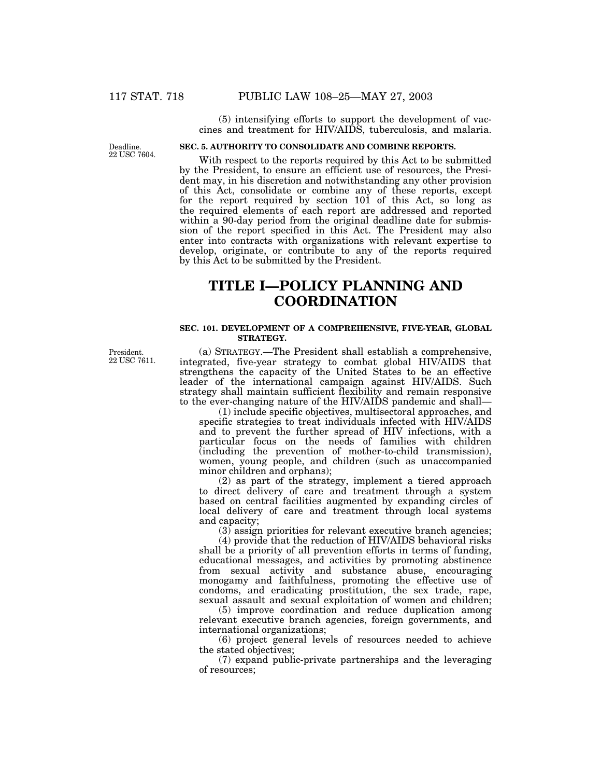(5) intensifying efforts to support the development of vaccines and treatment for HIV/AIDS, tuberculosis, and malaria.

Deadline. 22 USC 7604.

# **SEC. 5. AUTHORITY TO CONSOLIDATE AND COMBINE REPORTS.**

With respect to the reports required by this Act to be submitted by the President, to ensure an efficient use of resources, the President may, in his discretion and notwithstanding any other provision of this Act, consolidate or combine any of these reports, except for the report required by section  $10\tilde{1}$  of this Act, so long as the required elements of each report are addressed and reported within a 90-day period from the original deadline date for submission of the report specified in this Act. The President may also enter into contracts with organizations with relevant expertise to develop, originate, or contribute to any of the reports required by this Act to be submitted by the President.

# **TITLE I—POLICY PLANNING AND COORDINATION**

#### **SEC. 101. DEVELOPMENT OF A COMPREHENSIVE, FIVE-YEAR, GLOBAL STRATEGY.**

President. 22 USC 7611.

(a) STRATEGY.—The President shall establish a comprehensive, integrated, five-year strategy to combat global HIV/AIDS that strengthens the capacity of the United States to be an effective leader of the international campaign against HIV/AIDS. Such strategy shall maintain sufficient flexibility and remain responsive to the ever-changing nature of the HIV/AIDS pandemic and shall—

(1) include specific objectives, multisectoral approaches, and specific strategies to treat individuals infected with HIV/AIDS and to prevent the further spread of HIV infections, with a particular focus on the needs of families with children (including the prevention of mother-to-child transmission), women, young people, and children (such as unaccompanied minor children and orphans);

(2) as part of the strategy, implement a tiered approach to direct delivery of care and treatment through a system based on central facilities augmented by expanding circles of local delivery of care and treatment through local systems and capacity;

 $(3)$  assign priorities for relevant executive branch agencies;

(4) provide that the reduction of HIV/AIDS behavioral risks shall be a priority of all prevention efforts in terms of funding, educational messages, and activities by promoting abstinence from sexual activity and substance abuse, encouraging monogamy and faithfulness, promoting the effective use of condoms, and eradicating prostitution, the sex trade, rape, sexual assault and sexual exploitation of women and children;

(5) improve coordination and reduce duplication among relevant executive branch agencies, foreign governments, and international organizations;

(6) project general levels of resources needed to achieve the stated objectives;

(7) expand public-private partnerships and the leveraging of resources;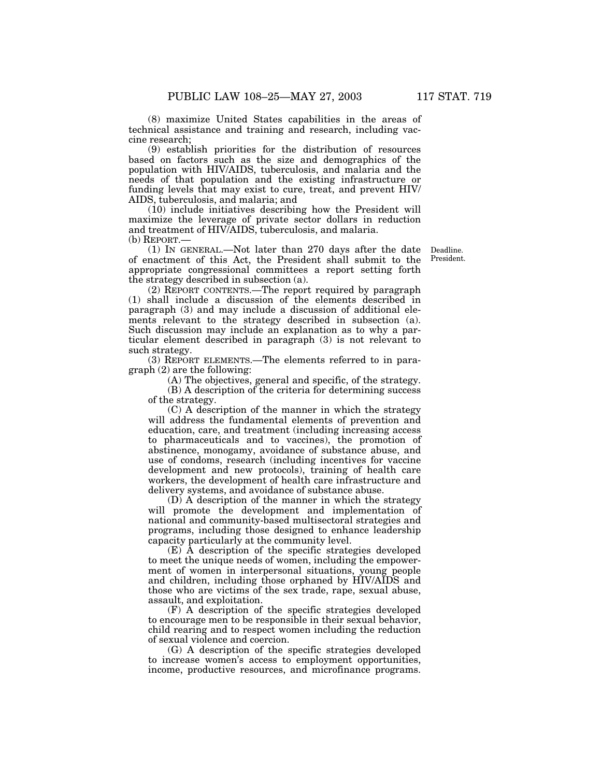(8) maximize United States capabilities in the areas of technical assistance and training and research, including vaccine research;

(9) establish priorities for the distribution of resources based on factors such as the size and demographics of the population with HIV/AIDS, tuberculosis, and malaria and the needs of that population and the existing infrastructure or funding levels that may exist to cure, treat, and prevent HIV/ AIDS, tuberculosis, and malaria; and

(10) include initiatives describing how the President will maximize the leverage of private sector dollars in reduction and treatment of HIV/AIDS, tuberculosis, and malaria. (b) REPORT.—

(1) IN GENERAL.—Not later than 270 days after the date of enactment of this Act, the President shall submit to the appropriate congressional committees a report setting forth the strategy described in subsection (a).

(2) REPORT CONTENTS.—The report required by paragraph (1) shall include a discussion of the elements described in paragraph (3) and may include a discussion of additional elements relevant to the strategy described in subsection (a). Such discussion may include an explanation as to why a particular element described in paragraph (3) is not relevant to such strategy.

(3) REPORT ELEMENTS.—The elements referred to in paragraph (2) are the following:

(A) The objectives, general and specific, of the strategy.

(B) A description of the criteria for determining success of the strategy.

(C) A description of the manner in which the strategy will address the fundamental elements of prevention and education, care, and treatment (including increasing access to pharmaceuticals and to vaccines), the promotion of abstinence, monogamy, avoidance of substance abuse, and use of condoms, research (including incentives for vaccine development and new protocols), training of health care workers, the development of health care infrastructure and delivery systems, and avoidance of substance abuse.

(D) A description of the manner in which the strategy will promote the development and implementation of national and community-based multisectoral strategies and programs, including those designed to enhance leadership capacity particularly at the community level.

(E) A description of the specific strategies developed to meet the unique needs of women, including the empowerment of women in interpersonal situations, young people and children, including those orphaned by HIV/AIDS and those who are victims of the sex trade, rape, sexual abuse, assault, and exploitation.

(F) A description of the specific strategies developed to encourage men to be responsible in their sexual behavior, child rearing and to respect women including the reduction of sexual violence and coercion.

(G) A description of the specific strategies developed to increase women's access to employment opportunities, income, productive resources, and microfinance programs.

Deadline. President.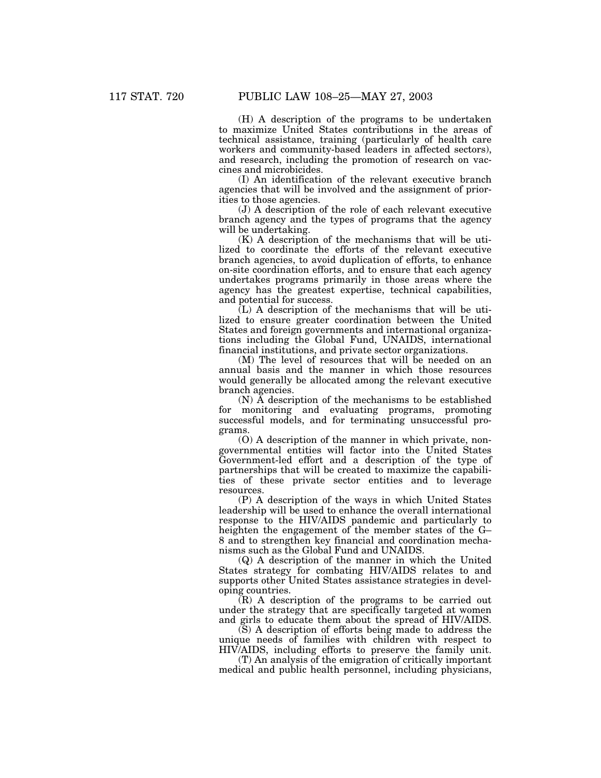(H) A description of the programs to be undertaken to maximize United States contributions in the areas of technical assistance, training (particularly of health care workers and community-based leaders in affected sectors), and research, including the promotion of research on vaccines and microbicides.

(I) An identification of the relevant executive branch agencies that will be involved and the assignment of priorities to those agencies.

(J) A description of the role of each relevant executive branch agency and the types of programs that the agency will be undertaking.

(K) A description of the mechanisms that will be utilized to coordinate the efforts of the relevant executive branch agencies, to avoid duplication of efforts, to enhance on-site coordination efforts, and to ensure that each agency undertakes programs primarily in those areas where the agency has the greatest expertise, technical capabilities, and potential for success.

(L) A description of the mechanisms that will be utilized to ensure greater coordination between the United States and foreign governments and international organizations including the Global Fund, UNAIDS, international financial institutions, and private sector organizations.

(M) The level of resources that will be needed on an annual basis and the manner in which those resources would generally be allocated among the relevant executive branch agencies.

 $(N)$   $\tilde{A}$  description of the mechanisms to be established for monitoring and evaluating programs, promoting successful models, and for terminating unsuccessful programs.

(O) A description of the manner in which private, nongovernmental entities will factor into the United States Government-led effort and a description of the type of partnerships that will be created to maximize the capabilities of these private sector entities and to leverage resources.

(P) A description of the ways in which United States leadership will be used to enhance the overall international response to the HIV/AIDS pandemic and particularly to heighten the engagement of the member states of the G– 8 and to strengthen key financial and coordination mechanisms such as the Global Fund and UNAIDS.

(Q) A description of the manner in which the United States strategy for combating HIV/AIDS relates to and supports other United States assistance strategies in developing countries.

 $(R)$  A description of the programs to be carried out under the strategy that are specifically targeted at women and girls to educate them about the spread of HIV/AIDS.

(S) A description of efforts being made to address the unique needs of families with children with respect to HIV/AIDS, including efforts to preserve the family unit.

(T) An analysis of the emigration of critically important medical and public health personnel, including physicians,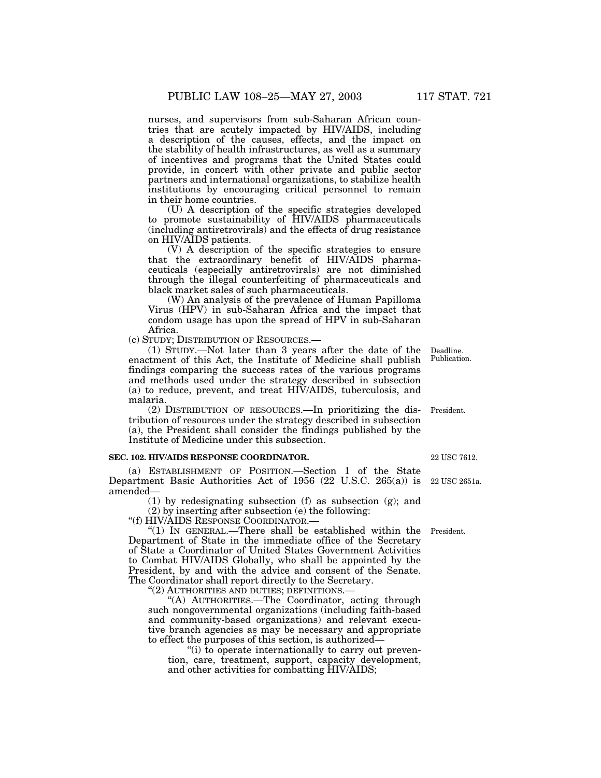nurses, and supervisors from sub-Saharan African countries that are acutely impacted by HIV/AIDS, including a description of the causes, effects, and the impact on the stability of health infrastructures, as well as a summary of incentives and programs that the United States could provide, in concert with other private and public sector partners and international organizations, to stabilize health institutions by encouraging critical personnel to remain in their home countries.

(U) A description of the specific strategies developed to promote sustainability of HIV/AIDS pharmaceuticals (including antiretrovirals) and the effects of drug resistance on HIV/AIDS patients.

(V) A description of the specific strategies to ensure that the extraordinary benefit of HIV/AIDS pharmaceuticals (especially antiretrovirals) are not diminished through the illegal counterfeiting of pharmaceuticals and black market sales of such pharmaceuticals.

(W) An analysis of the prevalence of Human Papilloma Virus (HPV) in sub-Saharan Africa and the impact that condom usage has upon the spread of HPV in sub-Saharan Africa.

(c) STUDY; DISTRIBUTION OF RESOURCES.—

(1) STUDY.—Not later than 3 years after the date of the enactment of this Act, the Institute of Medicine shall publish findings comparing the success rates of the various programs and methods used under the strategy described in subsection (a) to reduce, prevent, and treat HIV/AIDS, tuberculosis, and malaria.

(2) DISTRIBUTION OF RESOURCES.—In prioritizing the distribution of resources under the strategy described in subsection (a), the President shall consider the findings published by the Institute of Medicine under this subsection.

#### **SEC. 102. HIV/AIDS RESPONSE COORDINATOR.**

(a) ESTABLISHMENT OF POSITION.—Section 1 of the State Department Basic Authorities Act of 1956 (22 U.S.C. 265(a)) is amended—

(1) by redesignating subsection (f) as subsection (g); and

(2) by inserting after subsection (e) the following:

''(f) HIV/AIDS RESPONSE COORDINATOR.—

"(1) IN GENERAL.—There shall be established within the President. Department of State in the immediate office of the Secretary of State a Coordinator of United States Government Activities to Combat HIV/AIDS Globally, who shall be appointed by the President, by and with the advice and consent of the Senate. The Coordinator shall report directly to the Secretary.

''(2) AUTHORITIES AND DUTIES; DEFINITIONS.—

"(A) AUTHORITIES.—The Coordinator, acting through such nongovernmental organizations (including faith-based and community-based organizations) and relevant executive branch agencies as may be necessary and appropriate to effect the purposes of this section, is authorized—

"(i) to operate internationally to carry out prevention, care, treatment, support, capacity development, and other activities for combatting HIV/AIDS;

22 USC 7612

President.

22 USC 2651a.

Deadline. Publication.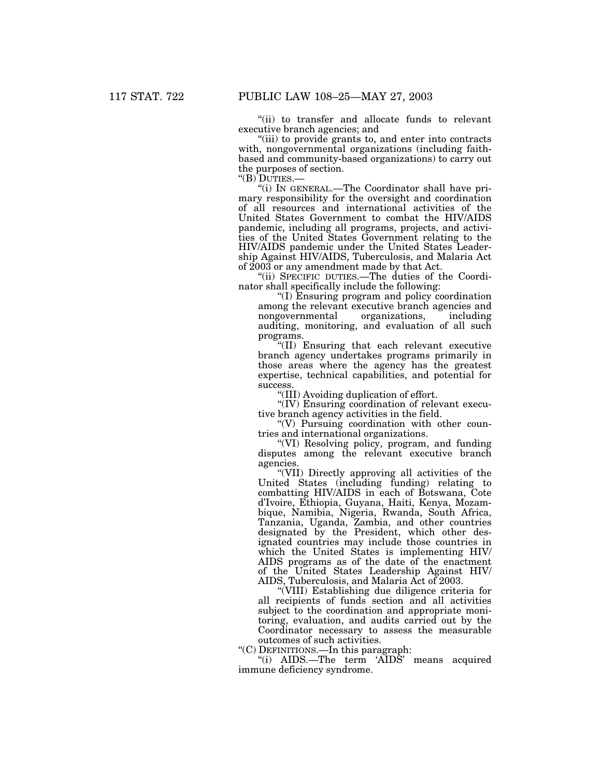''(ii) to transfer and allocate funds to relevant executive branch agencies; and

"(iii) to provide grants to, and enter into contracts with, nongovernmental organizations (including faithbased and community-based organizations) to carry out the purposes of section.<br>"(B) DUTIES.—

"(i) IN GENERAL.—The Coordinator shall have primary responsibility for the oversight and coordination of all resources and international activities of the United States Government to combat the HIV/AIDS pandemic, including all programs, projects, and activities of the United States Government relating to the HIV/AIDS pandemic under the United States Leadership Against HIV/AIDS, Tuberculosis, and Malaria Act of 2003 or any amendment made by that Act.

''(ii) SPECIFIC DUTIES.—The duties of the Coordinator shall specifically include the following:

''(I) Ensuring program and policy coordination among the relevant executive branch agencies and nongovernmental organizations, including auditing, monitoring, and evaluation of all such programs.

''(II) Ensuring that each relevant executive branch agency undertakes programs primarily in those areas where the agency has the greatest expertise, technical capabilities, and potential for success.

''(III) Avoiding duplication of effort.

 $\sqrt{\rm F}$ (IV) Ensuring coordination of relevant executive branch agency activities in the field.

''(V) Pursuing coordination with other countries and international organizations.

''(VI) Resolving policy, program, and funding disputes among the relevant executive branch agencies.

''(VII) Directly approving all activities of the United States (including funding) relating to combatting HIV/AIDS in each of Botswana, Cote d'Ivoire, Ethiopia, Guyana, Haiti, Kenya, Mozambique, Namibia, Nigeria, Rwanda, South Africa, Tanzania, Uganda, Zambia, and other countries designated by the President, which other designated countries may include those countries in which the United States is implementing HIV/ AIDS programs as of the date of the enactment of the United States Leadership Against HIV/ AIDS, Tuberculosis, and Malaria Act of 2003.

''(VIII) Establishing due diligence criteria for all recipients of funds section and all activities subject to the coordination and appropriate monitoring, evaluation, and audits carried out by the Coordinator necessary to assess the measurable outcomes of such activities.

''(C) DEFINITIONS.—In this paragraph:

"(i) AIDS.—The term 'AIDS' means acquired immune deficiency syndrome.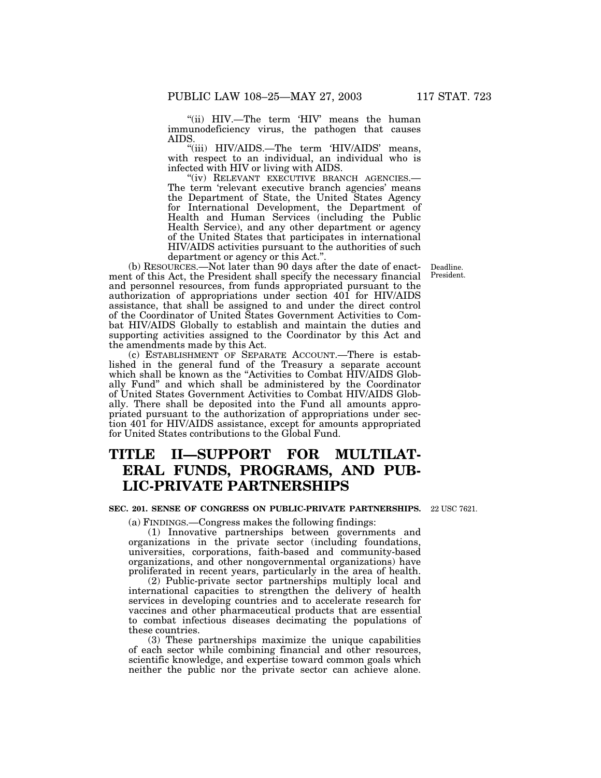"(ii) HIV.-The term 'HIV' means the human immunodeficiency virus, the pathogen that causes AIDS.

''(iii) HIV/AIDS.—The term 'HIV/AIDS' means, with respect to an individual, an individual who is infected with HIV or living with AIDS.

"(iv) RELEVANT EXECUTIVE BRANCH AGENCIES.-The term 'relevant executive branch agencies' means the Department of State, the United States Agency for International Development, the Department of Health and Human Services (including the Public Health Service), and any other department or agency of the United States that participates in international HIV/AIDS activities pursuant to the authorities of such department or agency or this Act.''.

(b) RESOURCES.—Not later than 90 days after the date of enactment of this Act, the President shall specify the necessary financial and personnel resources, from funds appropriated pursuant to the authorization of appropriations under section 401 for HIV/AIDS assistance, that shall be assigned to and under the direct control of the Coordinator of United States Government Activities to Combat HIV/AIDS Globally to establish and maintain the duties and supporting activities assigned to the Coordinator by this Act and the amendments made by this Act.

(c) ESTABLISHMENT OF SEPARATE ACCOUNT.—There is established in the general fund of the Treasury a separate account which shall be known as the ''Activities to Combat HIV/AIDS Globally Fund'' and which shall be administered by the Coordinator of United States Government Activities to Combat HIV/AIDS Globally. There shall be deposited into the Fund all amounts appropriated pursuant to the authorization of appropriations under section 401 for HIV/AIDS assistance, except for amounts appropriated for United States contributions to the Global Fund.

# **TITLE II—SUPPORT FOR MULTILAT-ERAL FUNDS, PROGRAMS, AND PUB-LIC-PRIVATE PARTNERSHIPS**

#### **SEC. 201. SENSE OF CONGRESS ON PUBLIC-PRIVATE PARTNERSHIPS.** 22 USC 7621.

(a) FINDINGS.—Congress makes the following findings:

(1) Innovative partnerships between governments and organizations in the private sector (including foundations, universities, corporations, faith-based and community-based organizations, and other nongovernmental organizations) have proliferated in recent years, particularly in the area of health.

(2) Public-private sector partnerships multiply local and international capacities to strengthen the delivery of health services in developing countries and to accelerate research for vaccines and other pharmaceutical products that are essential to combat infectious diseases decimating the populations of these countries.

(3) These partnerships maximize the unique capabilities of each sector while combining financial and other resources, scientific knowledge, and expertise toward common goals which neither the public nor the private sector can achieve alone.

Deadline. President.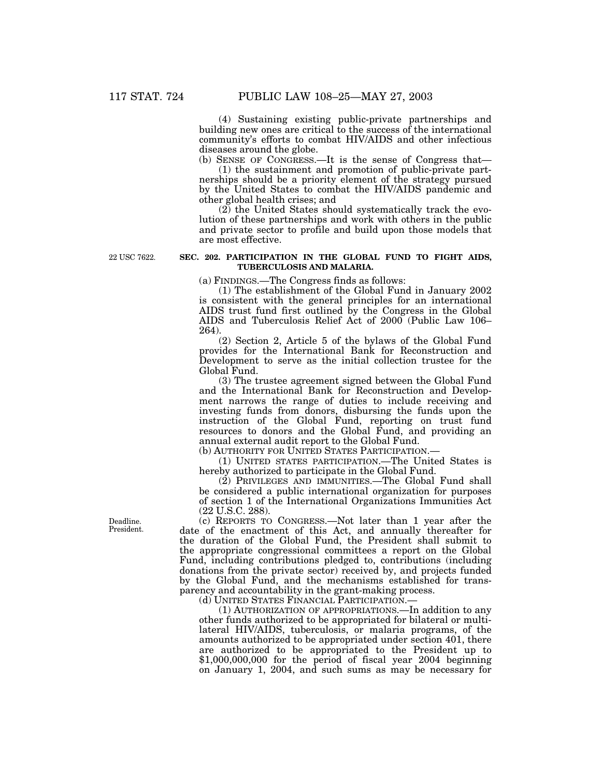(4) Sustaining existing public-private partnerships and building new ones are critical to the success of the international community's efforts to combat HIV/AIDS and other infectious diseases around the globe.

(b) SENSE OF CONGRESS.—It is the sense of Congress that—

(1) the sustainment and promotion of public-private partnerships should be a priority element of the strategy pursued by the United States to combat the HIV/AIDS pandemic and other global health crises; and

(2) the United States should systematically track the evolution of these partnerships and work with others in the public and private sector to profile and build upon those models that are most effective.

22 USC 7622.

### **SEC. 202. PARTICIPATION IN THE GLOBAL FUND TO FIGHT AIDS, TUBERCULOSIS AND MALARIA.**

(a) FINDINGS.—The Congress finds as follows:

(1) The establishment of the Global Fund in January 2002 is consistent with the general principles for an international AIDS trust fund first outlined by the Congress in the Global AIDS and Tuberculosis Relief Act of 2000 (Public Law 106– 264).

(2) Section 2, Article 5 of the bylaws of the Global Fund provides for the International Bank for Reconstruction and Development to serve as the initial collection trustee for the Global Fund.

(3) The trustee agreement signed between the Global Fund and the International Bank for Reconstruction and Development narrows the range of duties to include receiving and investing funds from donors, disbursing the funds upon the instruction of the Global Fund, reporting on trust fund resources to donors and the Global Fund, and providing an annual external audit report to the Global Fund.

(b) AUTHORITY FOR UNITED STATES PARTICIPATION.—

(1) UNITED STATES PARTICIPATION.—The United States is hereby authorized to participate in the Global Fund.

(2) PRIVILEGES AND IMMUNITIES.—The Global Fund shall be considered a public international organization for purposes of section 1 of the International Organizations Immunities Act (22 U.S.C. 288).

(c) REPORTS TO CONGRESS.—Not later than 1 year after the date of the enactment of this Act, and annually thereafter for the duration of the Global Fund, the President shall submit to the appropriate congressional committees a report on the Global Fund, including contributions pledged to, contributions (including donations from the private sector) received by, and projects funded by the Global Fund, and the mechanisms established for transparency and accountability in the grant-making process.

(d) UNITED STATES FINANCIAL PARTICIPATION.—

(1) AUTHORIZATION OF APPROPRIATIONS.—In addition to any other funds authorized to be appropriated for bilateral or multilateral HIV/AIDS, tuberculosis, or malaria programs, of the amounts authorized to be appropriated under section 401, there are authorized to be appropriated to the President up to \$1,000,000,000 for the period of fiscal year 2004 beginning on January 1, 2004, and such sums as may be necessary for

Deadline. President.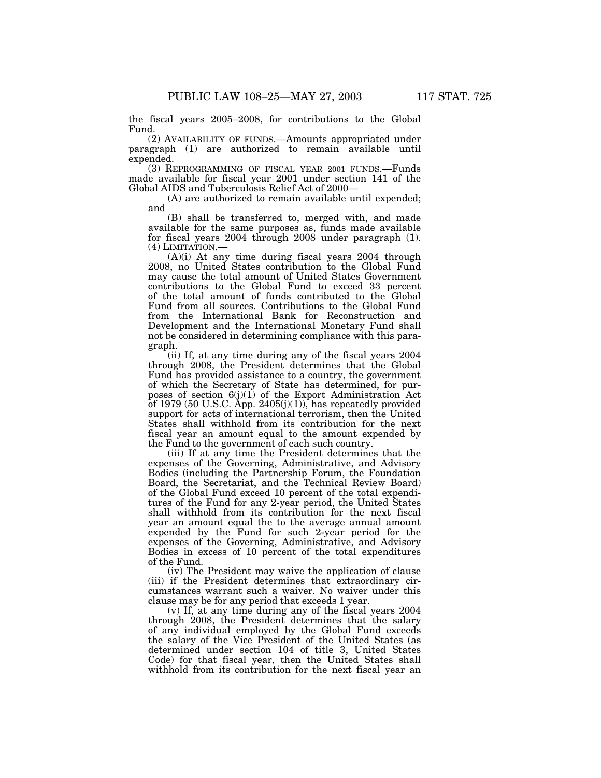the fiscal years 2005–2008, for contributions to the Global Fund.

(2) AVAILABILITY OF FUNDS.—Amounts appropriated under paragraph (1) are authorized to remain available until expended.

(3) REPROGRAMMING OF FISCAL YEAR 2001 FUNDS.—Funds made available for fiscal year 2001 under section 141 of the Global AIDS and Tuberculosis Relief Act of 2000—

(A) are authorized to remain available until expended; and

(B) shall be transferred to, merged with, and made available for the same purposes as, funds made available for fiscal years 2004 through 2008 under paragraph (1).

 $(A)(i)$  At any time during fiscal years 2004 through 2008, no United States contribution to the Global Fund may cause the total amount of United States Government contributions to the Global Fund to exceed 33 percent of the total amount of funds contributed to the Global Fund from all sources. Contributions to the Global Fund from the International Bank for Reconstruction and Development and the International Monetary Fund shall not be considered in determining compliance with this paragraph.

(ii) If, at any time during any of the fiscal years 2004 through 2008, the President determines that the Global Fund has provided assistance to a country, the government of which the Secretary of State has determined, for purposes of section 6(j)(1) of the Export Administration Act of 1979 (50 U.S.C. App. 2405(j)(1)), has repeatedly provided support for acts of international terrorism, then the United States shall withhold from its contribution for the next fiscal year an amount equal to the amount expended by the Fund to the government of each such country.

(iii) If at any time the President determines that the expenses of the Governing, Administrative, and Advisory Bodies (including the Partnership Forum, the Foundation Board, the Secretariat, and the Technical Review Board) of the Global Fund exceed 10 percent of the total expenditures of the Fund for any 2-year period, the United States shall withhold from its contribution for the next fiscal year an amount equal the to the average annual amount expended by the Fund for such 2-year period for the expenses of the Governing, Administrative, and Advisory Bodies in excess of 10 percent of the total expenditures of the Fund.

(iv) The President may waive the application of clause (iii) if the President determines that extraordinary circumstances warrant such a waiver. No waiver under this clause may be for any period that exceeds 1 year.

(v) If, at any time during any of the fiscal years 2004 through 2008, the President determines that the salary of any individual employed by the Global Fund exceeds the salary of the Vice President of the United States (as determined under section 104 of title 3, United States Code) for that fiscal year, then the United States shall withhold from its contribution for the next fiscal year an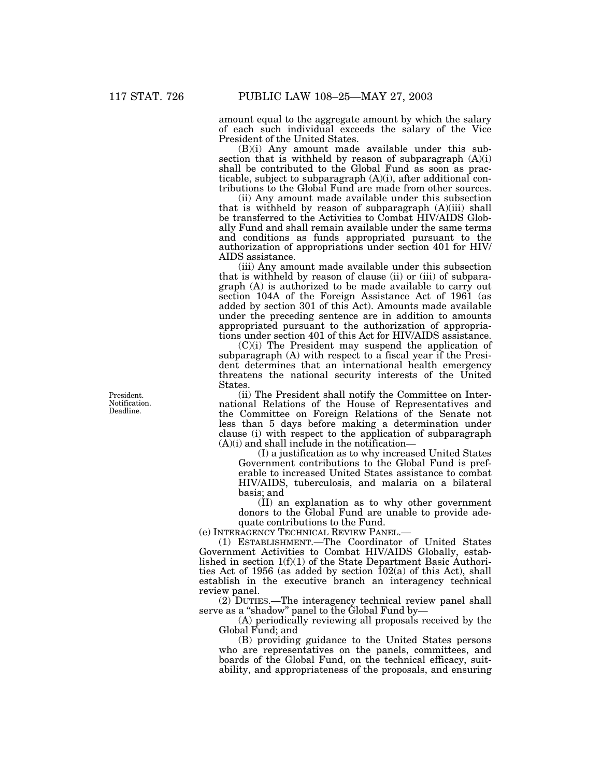amount equal to the aggregate amount by which the salary of each such individual exceeds the salary of the Vice President of the United States.

(B)(i) Any amount made available under this subsection that is withheld by reason of subparagraph (A)(i) shall be contributed to the Global Fund as soon as practicable, subject to subparagraph (A)(i), after additional contributions to the Global Fund are made from other sources.

(ii) Any amount made available under this subsection that is withheld by reason of subparagraph (A)(iii) shall be transferred to the Activities to Combat HIV/AIDS Globally Fund and shall remain available under the same terms and conditions as funds appropriated pursuant to the authorization of appropriations under section 401 for HIV/ AIDS assistance.

(iii) Any amount made available under this subsection that is withheld by reason of clause (ii) or (iii) of subparagraph (A) is authorized to be made available to carry out section 104A of the Foreign Assistance Act of 1961 (as added by section 301 of this Act). Amounts made available under the preceding sentence are in addition to amounts appropriated pursuant to the authorization of appropriations under section 401 of this Act for HIV/AIDS assistance.

(C)(i) The President may suspend the application of subparagraph (A) with respect to a fiscal year if the President determines that an international health emergency threatens the national security interests of the United States.

(ii) The President shall notify the Committee on International Relations of the House of Representatives and the Committee on Foreign Relations of the Senate not less than 5 days before making a determination under clause (i) with respect to the application of subparagraph  $(A)(i)$  and shall include in the notification-

(I) a justification as to why increased United States Government contributions to the Global Fund is preferable to increased United States assistance to combat HIV/AIDS, tuberculosis, and malaria on a bilateral basis; and

(II) an explanation as to why other government donors to the Global Fund are unable to provide adequate contributions to the Fund.

(e) INTERAGENCY TECHNICAL REVIEW PANEL.—

(1) ESTABLISHMENT.—The Coordinator of United States Government Activities to Combat HIV/AIDS Globally, established in section 1(f)(1) of the State Department Basic Authorities Act of 1956 (as added by section  $102(a)$  of this Act), shall establish in the executive branch an interagency technical review panel.

(2) DUTIES.—The interagency technical review panel shall serve as a "shadow" panel to the Global Fund by-

(A) periodically reviewing all proposals received by the Global Fund; and

(B) providing guidance to the United States persons who are representatives on the panels, committees, and boards of the Global Fund, on the technical efficacy, suitability, and appropriateness of the proposals, and ensuring

President. Notification. Deadline.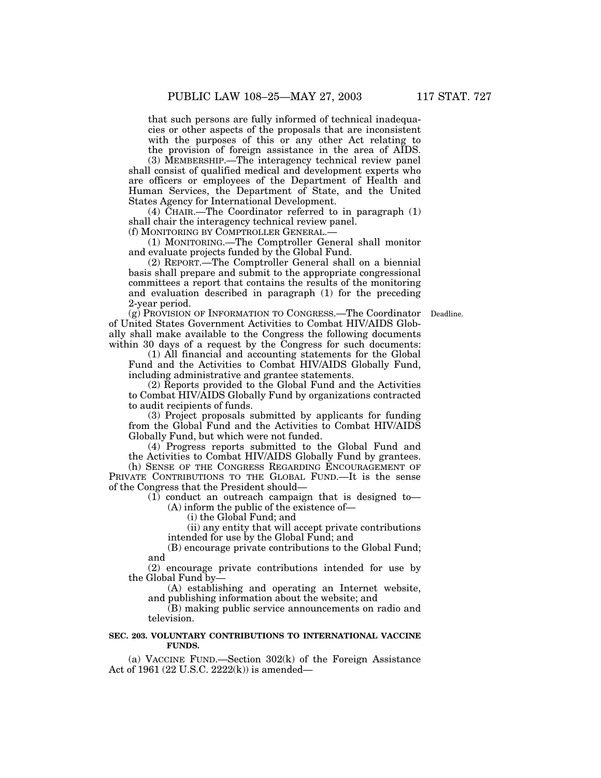that such persons are fully informed of technical inadequacies or other aspects of the proposals that are inconsistent with the purposes of this or any other Act relating to the provision of foreign assistance in the area of AIDS.

(3) MEMBERSHIP.—The interagency technical review panel shall consist of qualified medical and development experts who are officers or employees of the Department of Health and Human Services, the Department of State, and the United States Agency for International Development.

(4) CHAIR.—The Coordinator referred to in paragraph  $(1)$ shall chair the interagency technical review panel.

(f) MONITORING BY COMPTROLLER GENERAL.—

(1) MONITORING.—The Comptroller General shall monitor and evaluate projects funded by the Global Fund.

(2) REPORT.—The Comptroller General shall on a biennial basis shall prepare and submit to the appropriate congressional committees a report that contains the results of the monitoring and evaluation described in paragraph (1) for the preceding 2-year period.

(g) PROVISION OF INFORMATION TO CONGRESS.—The Coordinator Deadline. of United States Government Activities to Combat HIV/AIDS Globally shall make available to the Congress the following documents within 30 days of a request by the Congress for such documents:

(1) All financial and accounting statements for the Global Fund and the Activities to Combat HIV/AIDS Globally Fund, including administrative and grantee statements.

(2) Reports provided to the Global Fund and the Activities to Combat HIV/AIDS Globally Fund by organizations contracted to audit recipients of funds.

(3) Project proposals submitted by applicants for funding from the Global Fund and the Activities to Combat HIV/AIDS Globally Fund, but which were not funded.

(4) Progress reports submitted to the Global Fund and the Activities to Combat HIV/AIDS Globally Fund by grantees.

(h) SENSE OF THE CONGRESS REGARDING ENCOURAGEMENT OF PRIVATE CONTRIBUTIONS TO THE GLOBAL FUND.—It is the sense of the Congress that the President should—

(1) conduct an outreach campaign that is designed to—

(A) inform the public of the existence of—

(i) the Global Fund; and

(ii) any entity that will accept private contributions intended for use by the Global Fund; and

(B) encourage private contributions to the Global Fund; and

(2) encourage private contributions intended for use by the Global Fund by—

(A) establishing and operating an Internet website, and publishing information about the website; and

(B) making public service announcements on radio and television.

# **SEC. 203. VOLUNTARY CONTRIBUTIONS TO INTERNATIONAL VACCINE FUNDS.**

(a) VACCINE FUND.—Section  $302(k)$  of the Foreign Assistance Act of 1961 (22 U.S.C. 2222(k)) is amended—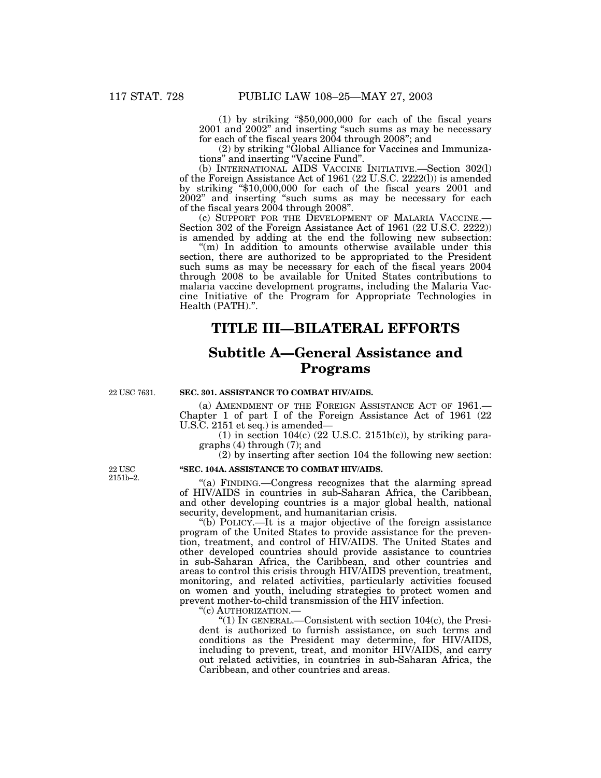(1) by striking ''\$50,000,000 for each of the fiscal years 2001 and 2002'' and inserting ''such sums as may be necessary for each of the fiscal years 2004 through 2008''; and

(2) by striking ''Global Alliance for Vaccines and Immunizations'' and inserting ''Vaccine Fund''.

(b) INTERNATIONAL AIDS VACCINE INITIATIVE.—Section 302(l) of the Foreign Assistance Act of 1961 (22 U.S.C. 2222(l)) is amended by striking ''\$10,000,000 for each of the fiscal years 2001 and 2002'' and inserting ''such sums as may be necessary for each of the fiscal years 2004 through 2008''.

(c) SUPPORT FOR THE DEVELOPMENT OF MALARIA VACCINE.— Section 302 of the Foreign Assistance Act of 1961 (22 U.S.C. 2222)) is amended by adding at the end the following new subsection:

"(m) In addition to amounts otherwise available under this section, there are authorized to be appropriated to the President such sums as may be necessary for each of the fiscal years 2004 through 2008 to be available for United States contributions to malaria vaccine development programs, including the Malaria Vaccine Initiative of the Program for Appropriate Technologies in Health (PATH).''.

# **TITLE III—BILATERAL EFFORTS**

# **Subtitle A—General Assistance and Programs**

22 USC 7631.

# **SEC. 301. ASSISTANCE TO COMBAT HIV/AIDS.**

(a) AMENDMENT OF THE FOREIGN ASSISTANCE ACT OF 1961.— Chapter 1 of part I of the Foreign Assistance Act of 1961 (22 U.S.C. 2151 et seq.) is amended-

(1) in section  $104(c)$  (22 U.S.C. 2151b(c)), by striking paragraphs (4) through (7); and

(2) by inserting after section 104 the following new section:

# **''SEC. 104A. ASSISTANCE TO COMBAT HIV/AIDS.**

''(a) FINDING.—Congress recognizes that the alarming spread of HIV/AIDS in countries in sub-Saharan Africa, the Caribbean, and other developing countries is a major global health, national security, development, and humanitarian crisis.

''(b) POLICY.—It is a major objective of the foreign assistance program of the United States to provide assistance for the prevention, treatment, and control of HIV/AIDS. The United States and other developed countries should provide assistance to countries in sub-Saharan Africa, the Caribbean, and other countries and areas to control this crisis through HIV/AIDS prevention, treatment, monitoring, and related activities, particularly activities focused on women and youth, including strategies to protect women and prevent mother-to-child transmission of the HIV infection.

''(c) AUTHORIZATION.— ''(1) IN GENERAL.—Consistent with section 104(c), the President is authorized to furnish assistance, on such terms and conditions as the President may determine, for HIV/AIDS, including to prevent, treat, and monitor HIV/AIDS, and carry out related activities, in countries in sub-Saharan Africa, the Caribbean, and other countries and areas.

22 USC 2151b–2.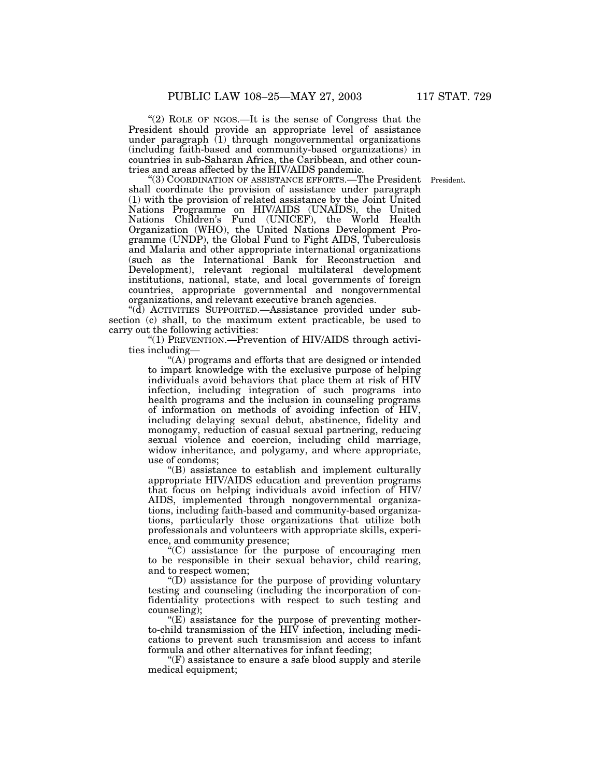"(2) ROLE OF NGOS.—It is the sense of Congress that the President should provide an appropriate level of assistance under paragraph  $(1)$  through nongovernmental organizations (including faith-based and community-based organizations) in countries in sub-Saharan Africa, the Caribbean, and other countries and areas affected by the HIV/AIDS pandemic.

"(3) COORDINATION OF ASSISTANCE EFFORTS.—The President President. shall coordinate the provision of assistance under paragraph (1) with the provision of related assistance by the Joint United Nations Programme on HIV/AIDS (UNAIDS), the United Nations Children's Fund (UNICEF), the World Health Organization (WHO), the United Nations Development Programme (UNDP), the Global Fund to Fight AIDS, Tuberculosis and Malaria and other appropriate international organizations (such as the International Bank for Reconstruction and Development), relevant regional multilateral development institutions, national, state, and local governments of foreign countries, appropriate governmental and nongovernmental organizations, and relevant executive branch agencies.

''(d) ACTIVITIES SUPPORTED.—Assistance provided under subsection (c) shall, to the maximum extent practicable, be used to carry out the following activities:

''(1) PREVENTION.—Prevention of HIV/AIDS through activities including—

''(A) programs and efforts that are designed or intended to impart knowledge with the exclusive purpose of helping individuals avoid behaviors that place them at risk of HIV infection, including integration of such programs into health programs and the inclusion in counseling programs of information on methods of avoiding infection of HIV, including delaying sexual debut, abstinence, fidelity and monogamy, reduction of casual sexual partnering, reducing sexual violence and coercion, including child marriage, widow inheritance, and polygamy, and where appropriate, use of condoms;

''(B) assistance to establish and implement culturally appropriate HIV/AIDS education and prevention programs that focus on helping individuals avoid infection of HIV/ AIDS, implemented through nongovernmental organizations, including faith-based and community-based organizations, particularly those organizations that utilize both professionals and volunteers with appropriate skills, experience, and community presence;

 $\mathcal{H}^{\prime}(\mathbf{C})$  assistance for the purpose of encouraging men to be responsible in their sexual behavior, child rearing, and to respect women;

''(D) assistance for the purpose of providing voluntary testing and counseling (including the incorporation of confidentiality protections with respect to such testing and counseling);

 $E(E)$  assistance for the purpose of preventing motherto-child transmission of the HIV infection, including medications to prevent such transmission and access to infant formula and other alternatives for infant feeding;

 $\mathrm{``(F)}$  assistance to ensure a safe blood supply and sterile medical equipment;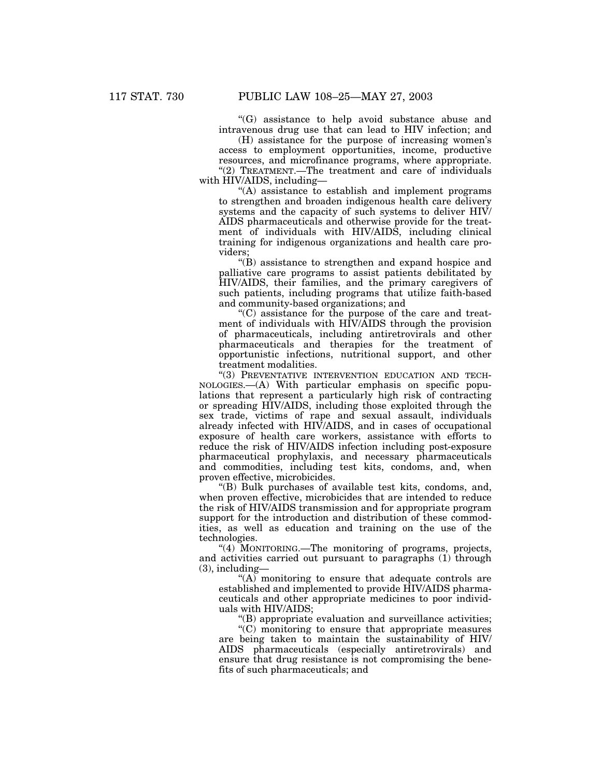''(G) assistance to help avoid substance abuse and intravenous drug use that can lead to HIV infection; and

(H) assistance for the purpose of increasing women's access to employment opportunities, income, productive resources, and microfinance programs, where appropriate. "(2) TREATMENT.—The treatment and care of individuals with HIV/AIDS, including—

"(A) assistance to establish and implement programs to strengthen and broaden indigenous health care delivery systems and the capacity of such systems to deliver HIV/ AIDS pharmaceuticals and otherwise provide for the treatment of individuals with HIV/AIDS, including clinical training for indigenous organizations and health care providers;

''(B) assistance to strengthen and expand hospice and palliative care programs to assist patients debilitated by HIV/AIDS, their families, and the primary caregivers of such patients, including programs that utilize faith-based and community-based organizations; and

''(C) assistance for the purpose of the care and treatment of individuals with HIV/AIDS through the provision of pharmaceuticals, including antiretrovirals and other pharmaceuticals and therapies for the treatment of opportunistic infections, nutritional support, and other treatment modalities.

''(3) PREVENTATIVE INTERVENTION EDUCATION AND TECH-NOLOGIES.—(A) With particular emphasis on specific populations that represent a particularly high risk of contracting or spreading HIV/AIDS, including those exploited through the sex trade, victims of rape and sexual assault, individuals already infected with HIV/AIDS, and in cases of occupational exposure of health care workers, assistance with efforts to reduce the risk of HIV/AIDS infection including post-exposure pharmaceutical prophylaxis, and necessary pharmaceuticals and commodities, including test kits, condoms, and, when proven effective, microbicides.

''(B) Bulk purchases of available test kits, condoms, and, when proven effective, microbicides that are intended to reduce the risk of HIV/AIDS transmission and for appropriate program support for the introduction and distribution of these commodities, as well as education and training on the use of the technologies.

''(4) MONITORING.—The monitoring of programs, projects, and activities carried out pursuant to paragraphs (1) through (3), including—

" $(A)$  monitoring to ensure that adequate controls are established and implemented to provide HIV/AIDS pharmaceuticals and other appropriate medicines to poor individuals with HIV/AIDS;

''(B) appropriate evaluation and surveillance activities;

''(C) monitoring to ensure that appropriate measures are being taken to maintain the sustainability of HIV/ AIDS pharmaceuticals (especially antiretrovirals) and ensure that drug resistance is not compromising the benefits of such pharmaceuticals; and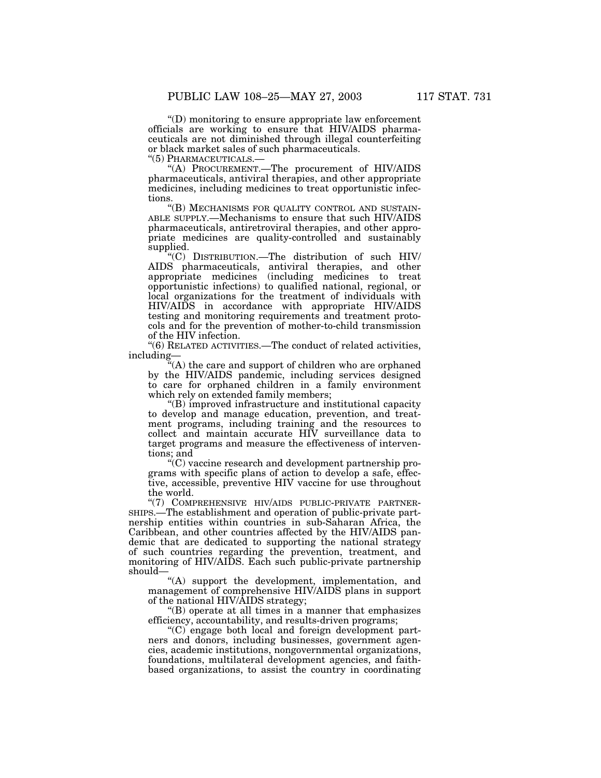''(D) monitoring to ensure appropriate law enforcement officials are working to ensure that HIV/AIDS pharmaceuticals are not diminished through illegal counterfeiting or black market sales of such pharmaceuticals.<br>"(5) PHARMACEUTICALS.—

"(A) PROCUREMENT.—The procurement of HIV/AIDS pharmaceuticals, antiviral therapies, and other appropriate medicines, including medicines to treat opportunistic infections.<br>"(B) MECHANISMS FOR QUALITY CONTROL AND SUSTAIN-

ABLE SUPPLY.—Mechanisms to ensure that such HIV/AIDS pharmaceuticals, antiretroviral therapies, and other appropriate medicines are quality-controlled and sustainably supplied.

''(C) DISTRIBUTION.—The distribution of such HIV/ AIDS pharmaceuticals, antiviral therapies, and other appropriate medicines (including medicines to treat opportunistic infections) to qualified national, regional, or local organizations for the treatment of individuals with HIV/AIDS in accordance with appropriate HIV/AIDS testing and monitoring requirements and treatment protocols and for the prevention of mother-to-child transmission of the HIV infection.

''(6) RELATED ACTIVITIES.—The conduct of related activities, including—

"(A) the care and support of children who are orphaned by the HIV/AIDS pandemic, including services designed to care for orphaned children in a family environment which rely on extended family members;

''(B) improved infrastructure and institutional capacity to develop and manage education, prevention, and treatment programs, including training and the resources to collect and maintain accurate HIV surveillance data to target programs and measure the effectiveness of interventions; and

''(C) vaccine research and development partnership programs with specific plans of action to develop a safe, effective, accessible, preventive HIV vaccine for use throughout the world.

"(7) COMPREHENSIVE HIV/AIDS PUBLIC-PRIVATE PARTNER-SHIPS.—The establishment and operation of public-private partnership entities within countries in sub-Saharan Africa, the Caribbean, and other countries affected by the HIV/AIDS pandemic that are dedicated to supporting the national strategy of such countries regarding the prevention, treatment, and monitoring of HIV/AIDS. Each such public-private partnership should—

"(A) support the development, implementation, and management of comprehensive HIV/AIDS plans in support of the national HIV/AIDS strategy;

"(B) operate at all times in a manner that emphasizes efficiency, accountability, and results-driven programs;

''(C) engage both local and foreign development partners and donors, including businesses, government agencies, academic institutions, nongovernmental organizations, foundations, multilateral development agencies, and faithbased organizations, to assist the country in coordinating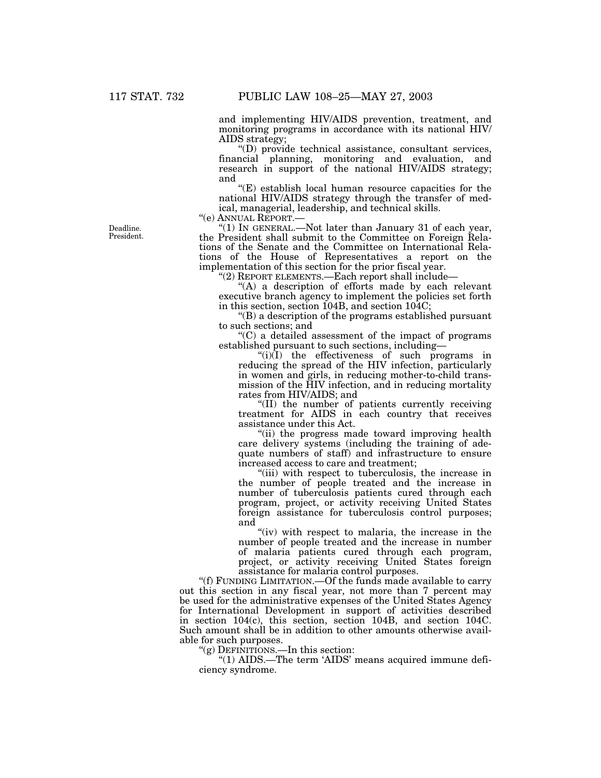and implementing HIV/AIDS prevention, treatment, and monitoring programs in accordance with its national HIV/ AIDS strategy;

''(D) provide technical assistance, consultant services, financial planning, monitoring and evaluation, and research in support of the national HIV/AIDS strategy; and

 $E(E)$  establish local human resource capacities for the national HIV/AIDS strategy through the transfer of medical, managerial, leadership, and technical skills.

"(1) IN GENERAL.—Not later than January 31 of each year, the President shall submit to the Committee on Foreign Relations of the Senate and the Committee on International Relations of the House of Representatives a report on the implementation of this section for the prior fiscal year.

''(2) REPORT ELEMENTS.—Each report shall include—

"(A) a description of efforts made by each relevant executive branch agency to implement the policies set forth in this section, section 104B, and section 104C;

''(B) a description of the programs established pursuant to such sections; and

 $(C)$  a detailed assessment of the impact of programs established pursuant to such sections, including—

" $(i)(I)$  the effectiveness of such programs in reducing the spread of the HIV infection, particularly in women and girls, in reducing mother-to-child transmission of the HIV infection, and in reducing mortality rates from HIV/AIDS; and

''(II) the number of patients currently receiving treatment for AIDS in each country that receives assistance under this Act.

''(ii) the progress made toward improving health care delivery systems (including the training of adequate numbers of staff) and infrastructure to ensure increased access to care and treatment;

''(iii) with respect to tuberculosis, the increase in the number of people treated and the increase in number of tuberculosis patients cured through each program, project, or activity receiving United States foreign assistance for tuberculosis control purposes; and

"(iv) with respect to malaria, the increase in the number of people treated and the increase in number of malaria patients cured through each program, project, or activity receiving United States foreign assistance for malaria control purposes.

''(f) FUNDING LIMITATION.—Of the funds made available to carry out this section in any fiscal year, not more than 7 percent may be used for the administrative expenses of the United States Agency for International Development in support of activities described in section 104(c), this section, section 104B, and section 104C. Such amount shall be in addition to other amounts otherwise available for such purposes.

''(g) DEFINITIONS.—In this section:

''(1) AIDS.—The term 'AIDS' means acquired immune deficiency syndrome.

Deadline. President.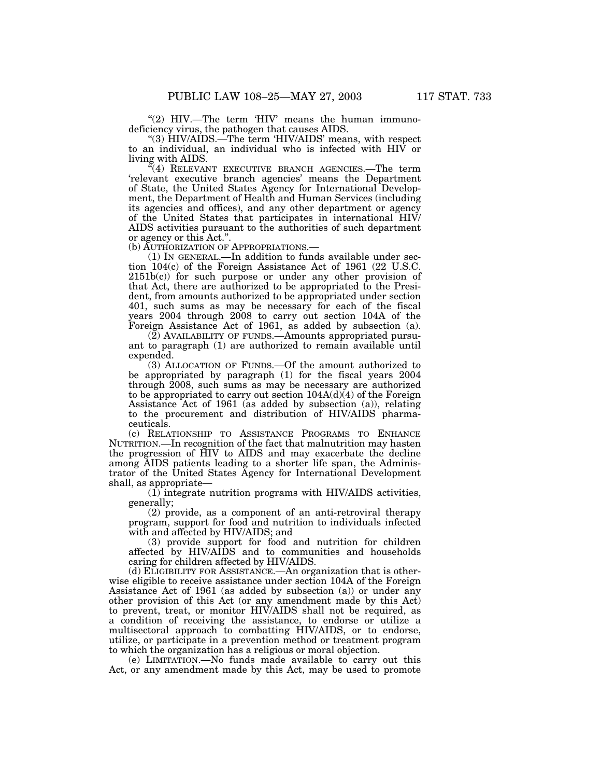" $(2)$  HIV.—The term 'HIV' means the human immunodeficiency virus, the pathogen that causes AIDS.

''(3) HIV/AIDS.—The term 'HIV/AIDS' means, with respect to an individual, an individual who is infected with HIV or living with AIDS.

 $\sqrt[7]{(4)}$  RELEVANT EXECUTIVE BRANCH AGENCIES.—The term 'relevant executive branch agencies' means the Department of State, the United States Agency for International Development, the Department of Health and Human Services (including its agencies and offices), and any other department or agency of the United States that participates in international HIV/ AIDS activities pursuant to the authorities of such department or agency or this Act.".<br>(b) AUTHORIZATION OF APPROPRIATIONS.—

 $(1)$  In GENERAL.—In addition to funds available under section 104(c) of the Foreign Assistance Act of 1961 (22 U.S.C.  $2151b(c)$  for such purpose or under any other provision of that Act, there are authorized to be appropriated to the President, from amounts authorized to be appropriated under section 401, such sums as may be necessary for each of the fiscal years 2004 through 2008 to carry out section 104A of the Foreign Assistance Act of 1961, as added by subsection (a).

(2) AVAILABILITY OF FUNDS.—Amounts appropriated pursuant to paragraph (1) are authorized to remain available until expended.

(3) ALLOCATION OF FUNDS.—Of the amount authorized to be appropriated by paragraph (1) for the fiscal years 2004 through 2008, such sums as may be necessary are authorized to be appropriated to carry out section  $104A(d)(4)$  of the Foreign Assistance Act of 1961 (as added by subsection (a)), relating to the procurement and distribution of HIV/AIDS pharmaceuticals.

(c) RELATIONSHIP TO ASSISTANCE PROGRAMS TO ENHANCE NUTRITION.—In recognition of the fact that malnutrition may hasten the progression of HIV to AIDS and may exacerbate the decline among AIDS patients leading to a shorter life span, the Administrator of the United States Agency for International Development shall, as appropriate—

(1) integrate nutrition programs with HIV/AIDS activities, generally;

(2) provide, as a component of an anti-retroviral therapy program, support for food and nutrition to individuals infected with and affected by HIV/AIDS; and

(3) provide support for food and nutrition for children affected by HIV/AIDS and to communities and households caring for children affected by HIV/AIDS.

(d) ELIGIBILITY FOR ASSISTANCE.—An organization that is otherwise eligible to receive assistance under section 104A of the Foreign Assistance Act of 1961 (as added by subsection (a)) or under any other provision of this Act (or any amendment made by this Act) to prevent, treat, or monitor HIV/AIDS shall not be required, as a condition of receiving the assistance, to endorse or utilize a multisectoral approach to combatting HIV/AIDS, or to endorse, utilize, or participate in a prevention method or treatment program to which the organization has a religious or moral objection.

(e) LIMITATION.—No funds made available to carry out this Act, or any amendment made by this Act, may be used to promote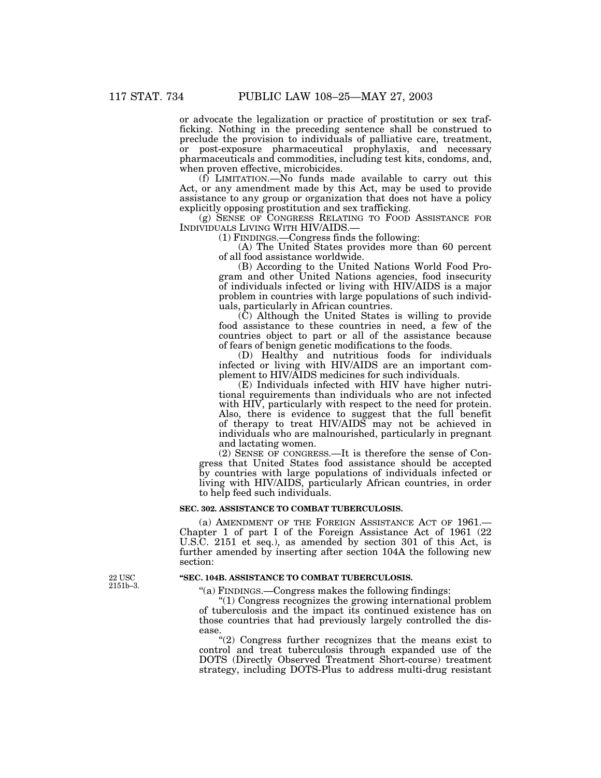or advocate the legalization or practice of prostitution or sex trafficking. Nothing in the preceding sentence shall be construed to preclude the provision to individuals of palliative care, treatment, or post-exposure pharmaceutical prophylaxis, and necessary pharmaceuticals and commodities, including test kits, condoms, and, when proven effective, microbicides.

(f) LIMITATION.—No funds made available to carry out this Act, or any amendment made by this Act, may be used to provide assistance to any group or organization that does not have a policy explicitly opposing prostitution and sex trafficking.

(g) SENSE OF CONGRESS RELATING TO FOOD ASSISTANCE FOR INDIVIDUALS LIVING WITH HIV/AIDS.—

(1) FINDINGS.—Congress finds the following:

(A) The United States provides more than 60 percent of all food assistance worldwide.

(B) According to the United Nations World Food Program and other United Nations agencies, food insecurity of individuals infected or living with HIV/AIDS is a major problem in countries with large populations of such individuals, particularly in African countries.

(C) Although the United States is willing to provide food assistance to these countries in need, a few of the countries object to part or all of the assistance because of fears of benign genetic modifications to the foods.

(D) Healthy and nutritious foods for individuals infected or living with HIV/AIDS are an important complement to HIV/AIDS medicines for such individuals.

(E) Individuals infected with HIV have higher nutritional requirements than individuals who are not infected with HIV, particularly with respect to the need for protein. Also, there is evidence to suggest that the full benefit of therapy to treat HIV/AIDS may not be achieved in individuals who are malnourished, particularly in pregnant and lactating women.

(2) SENSE OF CONGRESS.—It is therefore the sense of Congress that United States food assistance should be accepted by countries with large populations of individuals infected or living with HIV/AIDS, particularly African countries, in order to help feed such individuals.

## **SEC. 302. ASSISTANCE TO COMBAT TUBERCULOSIS.**

(a) AMENDMENT OF THE FOREIGN ASSISTANCE ACT OF 1961.— Chapter 1 of part I of the Foreign Assistance Act of 1961 (22 U.S.C. 2151 et seq.), as amended by section 301 of this Act, is further amended by inserting after section 104A the following new section:

### **''SEC. 104B. ASSISTANCE TO COMBAT TUBERCULOSIS.**

''(a) FINDINGS.—Congress makes the following findings:

''(1) Congress recognizes the growing international problem of tuberculosis and the impact its continued existence has on those countries that had previously largely controlled the disease.

''(2) Congress further recognizes that the means exist to control and treat tuberculosis through expanded use of the DOTS (Directly Observed Treatment Short-course) treatment strategy, including DOTS-Plus to address multi-drug resistant

22 USC 2151b–3.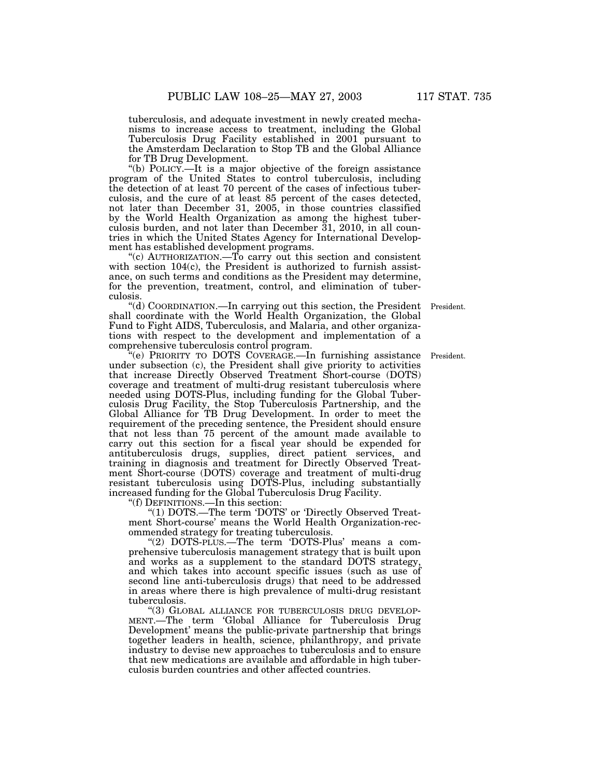tuberculosis, and adequate investment in newly created mechanisms to increase access to treatment, including the Global Tuberculosis Drug Facility established in 2001 pursuant to the Amsterdam Declaration to Stop TB and the Global Alliance for TB Drug Development.

''(b) POLICY.—It is a major objective of the foreign assistance program of the United States to control tuberculosis, including the detection of at least 70 percent of the cases of infectious tuberculosis, and the cure of at least 85 percent of the cases detected, not later than December 31, 2005, in those countries classified by the World Health Organization as among the highest tuberculosis burden, and not later than December 31, 2010, in all countries in which the United States Agency for International Development has established development programs.

"(c) AUTHORIZATION.—To carry out this section and consistent with section 104(c), the President is authorized to furnish assistance, on such terms and conditions as the President may determine, for the prevention, treatment, control, and elimination of tuberculosis.

"(d) COORDINATION.—In carrying out this section, the President President. shall coordinate with the World Health Organization, the Global Fund to Fight AIDS, Tuberculosis, and Malaria, and other organizations with respect to the development and implementation of a comprehensive tuberculosis control program.

''(e) PRIORITY TO DOTS COVERAGE.—In furnishing assistance President. under subsection (c), the President shall give priority to activities that increase Directly Observed Treatment Short-course (DOTS) coverage and treatment of multi-drug resistant tuberculosis where needed using DOTS-Plus, including funding for the Global Tuberculosis Drug Facility, the Stop Tuberculosis Partnership, and the Global Alliance for TB Drug Development. In order to meet the requirement of the preceding sentence, the President should ensure that not less than 75 percent of the amount made available to carry out this section for a fiscal year should be expended for antituberculosis drugs, supplies, direct patient services, and training in diagnosis and treatment for Directly Observed Treatment Short-course (DOTS) coverage and treatment of multi-drug resistant tuberculosis using DOTS-Plus, including substantially increased funding for the Global Tuberculosis Drug Facility.

''(f) DEFINITIONS.—In this section:

"(1) DOTS.—The term 'DOTS' or 'Directly Observed Treatment Short-course' means the World Health Organization-recommended strategy for treating tuberculosis.

''(2) DOTS-PLUS.—The term 'DOTS-Plus' means a comprehensive tuberculosis management strategy that is built upon and works as a supplement to the standard DOTS strategy, and which takes into account specific issues (such as use of second line anti-tuberculosis drugs) that need to be addressed in areas where there is high prevalence of multi-drug resistant tuberculosis.<br>"(3) GLOBAL ALLIANCE FOR TUBERCULOSIS DRUG DEVELOP-

MENT.—The term 'Global Alliance for Tuberculosis Drug Development' means the public-private partnership that brings together leaders in health, science, philanthropy, and private industry to devise new approaches to tuberculosis and to ensure that new medications are available and affordable in high tuberculosis burden countries and other affected countries.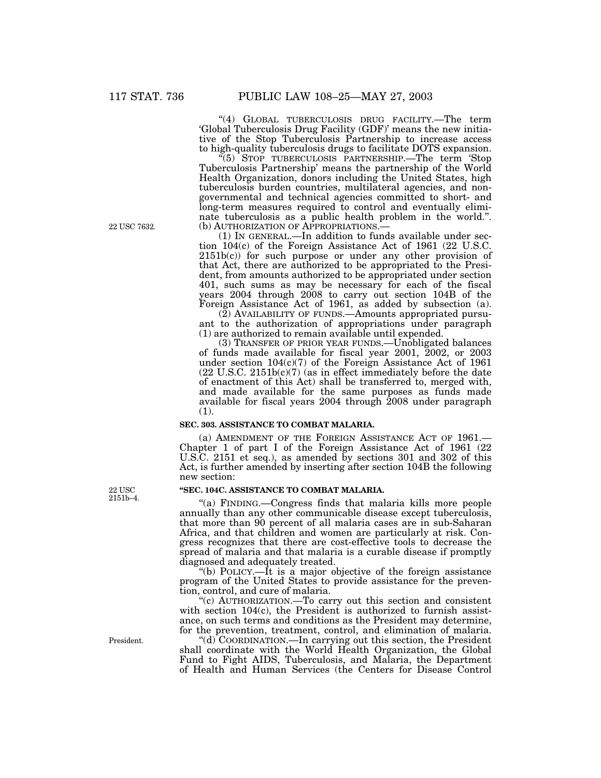22 USC 7632.

''(4) GLOBAL TUBERCULOSIS DRUG FACILITY.—The term 'Global Tuberculosis Drug Facility (GDF)' means the new initiative of the Stop Tuberculosis Partnership to increase access to high-quality tuberculosis drugs to facilitate DOTS expansion.

''(5) STOP TUBERCULOSIS PARTNERSHIP.—The term 'Stop Tuberculosis Partnership' means the partnership of the World Health Organization, donors including the United States, high tuberculosis burden countries, multilateral agencies, and nongovernmental and technical agencies committed to short- and long-term measures required to control and eventually eliminate tuberculosis as a public health problem in the world.".<br>(b) AUTHORIZATION OF APPROPRIATIONS.—

 $(1)$  In GENERAL.—In addition to funds available under section  $104(c)$  of the Foreign Assistance Act of 1961 (22 U.S.C.  $2151b(c)$  for such purpose or under any other provision of that Act, there are authorized to be appropriated to the President, from amounts authorized to be appropriated under section 401, such sums as may be necessary for each of the fiscal years 2004 through 2008 to carry out section 104B of the Foreign Assistance Act of 1961, as added by subsection (a).

 $(2)$  AVAILABILITY OF FUNDS.—Amounts appropriated pursuant to the authorization of appropriations under paragraph (1) are authorized to remain available until expended.

(3) TRANSFER OF PRIOR YEAR FUNDS.—Unobligated balances of funds made available for fiscal year 2001, 2002, or 2003 under section  $104(c)(7)$  of the Foreign Assistance Act of 1961  $(22 \text{ U.S.C. } 2151b(c)(7)$  (as in effect immediately before the date of enactment of this Act) shall be transferred to, merged with, and made available for the same purposes as funds made available for fiscal years 2004 through 2008 under paragraph (1).

#### **SEC. 303. ASSISTANCE TO COMBAT MALARIA.**

(a) AMENDMENT OF THE FOREIGN ASSISTANCE ACT OF 1961.— Chapter 1 of part I of the Foreign Assistance Act of 1961 (22 U.S.C. 2151 et seq.), as amended by sections 301 and 302 of this Act, is further amended by inserting after section 104B the following new section:

#### **''SEC. 104C. ASSISTANCE TO COMBAT MALARIA.**

''(a) FINDING.—Congress finds that malaria kills more people annually than any other communicable disease except tuberculosis, that more than 90 percent of all malaria cases are in sub-Saharan Africa, and that children and women are particularly at risk. Congress recognizes that there are cost-effective tools to decrease the spread of malaria and that malaria is a curable disease if promptly diagnosed and adequately treated.

''(b) POLICY.—It is a major objective of the foreign assistance program of the United States to provide assistance for the prevention, control, and cure of malaria.

 $\mathcal{C}(c)$  AUTHORIZATION.—To carry out this section and consistent with section 104(c), the President is authorized to furnish assistance, on such terms and conditions as the President may determine, for the prevention, treatment, control, and elimination of malaria.

''(d) COORDINATION.—In carrying out this section, the President shall coordinate with the World Health Organization, the Global Fund to Fight AIDS, Tuberculosis, and Malaria, the Department of Health and Human Services (the Centers for Disease Control

22 USC 2151b–4.

President.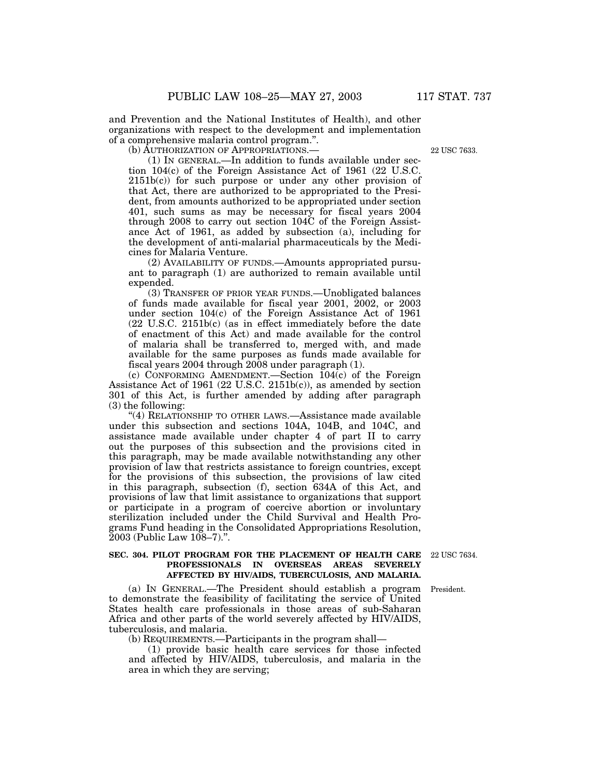and Prevention and the National Institutes of Health), and other organizations with respect to the development and implementation of a comprehensive malaria control program.''.

(b) AUTHORIZATION OF APPROPRIATIONS.—

(1) IN GENERAL.—In addition to funds available under section 104(c) of the Foreign Assistance Act of 1961 (22 U.S.C. 2151b(c)) for such purpose or under any other provision of that Act, there are authorized to be appropriated to the President, from amounts authorized to be appropriated under section 401, such sums as may be necessary for fiscal years 2004 through 2008 to carry out section 104C of the Foreign Assistance Act of 1961, as added by subsection (a), including for the development of anti-malarial pharmaceuticals by the Medicines for Malaria Venture.

(2) AVAILABILITY OF FUNDS.—Amounts appropriated pursuant to paragraph (1) are authorized to remain available until expended.

(3) TRANSFER OF PRIOR YEAR FUNDS.—Unobligated balances of funds made available for fiscal year 2001, 2002, or 2003 under section 104(c) of the Foreign Assistance Act of 1961 (22 U.S.C. 2151b(c) (as in effect immediately before the date of enactment of this Act) and made available for the control of malaria shall be transferred to, merged with, and made available for the same purposes as funds made available for fiscal years 2004 through 2008 under paragraph (1).

(c) CONFORMING AMENDMENT.—Section 104(c) of the Foreign Assistance Act of 1961 (22 U.S.C. 2151b(c)), as amended by section 301 of this Act, is further amended by adding after paragraph (3) the following:

"(4) RELATIONSHIP TO OTHER LAWS.—Assistance made available under this subsection and sections 104A, 104B, and 104C, and assistance made available under chapter 4 of part II to carry out the purposes of this subsection and the provisions cited in this paragraph, may be made available notwithstanding any other provision of law that restricts assistance to foreign countries, except for the provisions of this subsection, the provisions of law cited in this paragraph, subsection (f), section 634A of this Act, and provisions of law that limit assistance to organizations that support or participate in a program of coercive abortion or involuntary sterilization included under the Child Survival and Health Programs Fund heading in the Consolidated Appropriations Resolution, 2003 (Public Law 108–7).''.

President.

**SEC. 304. PILOT PROGRAM FOR THE PLACEMENT OF HEALTH CARE** 22 USC 7634. **PROFESSIONALS IN OVERSEAS AREAS SEVERELY AFFECTED BY HIV/AIDS, TUBERCULOSIS, AND MALARIA.**

(a) IN GENERAL.—The President should establish a program to demonstrate the feasibility of facilitating the service of United States health care professionals in those areas of sub-Saharan Africa and other parts of the world severely affected by HIV/AIDS, tuberculosis, and malaria.

(b) REQUIREMENTS.—Participants in the program shall—

(1) provide basic health care services for those infected and affected by HIV/AIDS, tuberculosis, and malaria in the area in which they are serving;

22 USC 7633.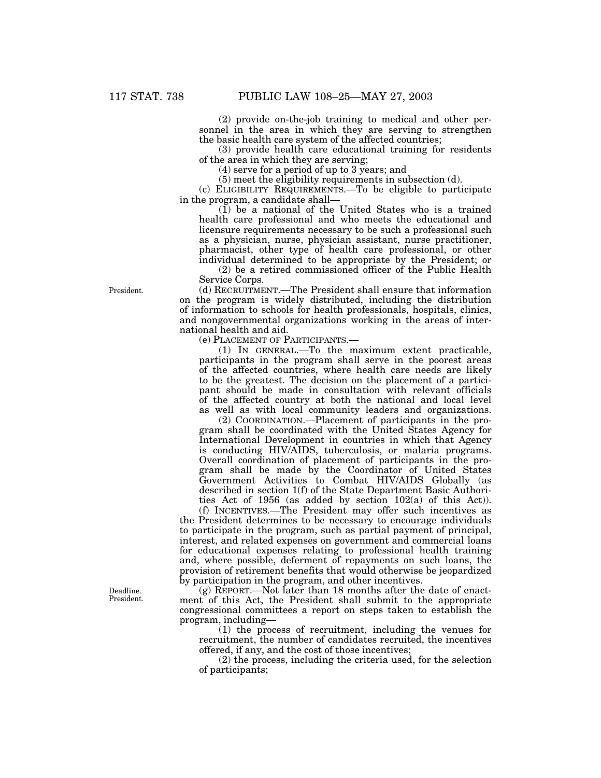(2) provide on-the-job training to medical and other personnel in the area in which they are serving to strengthen the basic health care system of the affected countries;

(3) provide health care educational training for residents of the area in which they are serving;

(4) serve for a period of up to 3 years; and

(5) meet the eligibility requirements in subsection (d).

(c) ELIGIBILITY REQUIREMENTS.—To be eligible to participate in the program, a candidate shall—

(1) be a national of the United States who is a trained health care professional and who meets the educational and licensure requirements necessary to be such a professional such as a physician, nurse, physician assistant, nurse practitioner, pharmacist, other type of health care professional, or other individual determined to be appropriate by the President; or

(2) be a retired commissioned officer of the Public Health Service Corps.

(d) RECRUITMENT.—The President shall ensure that information on the program is widely distributed, including the distribution of information to schools for health professionals, hospitals, clinics, and nongovernmental organizations working in the areas of international health and aid.

(e) PLACEMENT OF PARTICIPANTS.—

(1) IN GENERAL.—To the maximum extent practicable, participants in the program shall serve in the poorest areas of the affected countries, where health care needs are likely to be the greatest. The decision on the placement of a participant should be made in consultation with relevant officials of the affected country at both the national and local level as well as with local community leaders and organizations.

(2) COORDINATION.—Placement of participants in the program shall be coordinated with the United States Agency for International Development in countries in which that Agency is conducting HIV/AIDS, tuberculosis, or malaria programs. Overall coordination of placement of participants in the program shall be made by the Coordinator of United States Government Activities to Combat HIV/AIDS Globally (as described in section 1(f) of the State Department Basic Authorities Act of 1956 (as added by section 102(a) of this Act)).

(f) INCENTIVES.—The President may offer such incentives as the President determines to be necessary to encourage individuals to participate in the program, such as partial payment of principal, interest, and related expenses on government and commercial loans for educational expenses relating to professional health training and, where possible, deferment of repayments on such loans, the provision of retirement benefits that would otherwise be jeopardized by participation in the program, and other incentives.

(g) REPORT.—Not later than 18 months after the date of enactment of this Act, the President shall submit to the appropriate congressional committees a report on steps taken to establish the program, including—

(1) the process of recruitment, including the venues for recruitment, the number of candidates recruited, the incentives offered, if any, and the cost of those incentives;

(2) the process, including the criteria used, for the selection of participants;

President.

Deadline. President.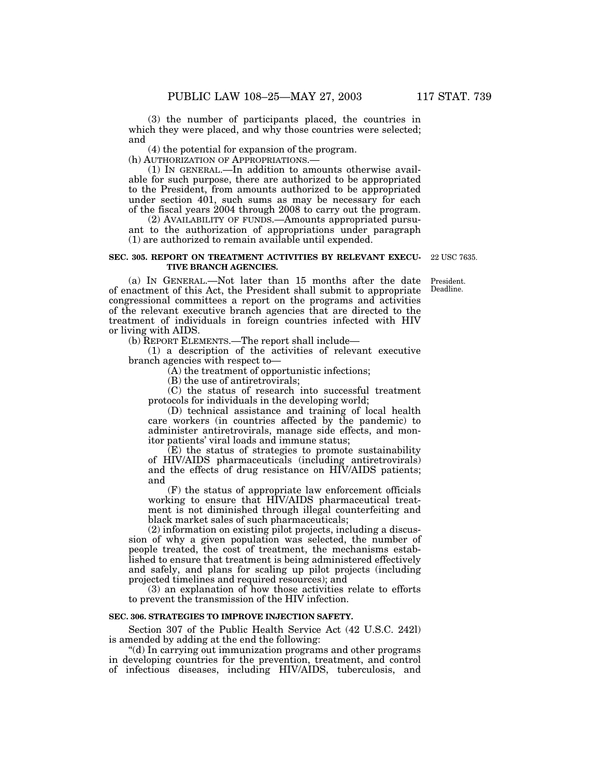(3) the number of participants placed, the countries in which they were placed, and why those countries were selected; and

(4) the potential for expansion of the program.

(h) AUTHORIZATION OF APPROPRIATIONS.—

(1) IN GENERAL.—In addition to amounts otherwise available for such purpose, there are authorized to be appropriated to the President, from amounts authorized to be appropriated under section 401, such sums as may be necessary for each of the fiscal years 2004 through 2008 to carry out the program.

(2) AVAILABILITY OF FUNDS.—Amounts appropriated pursuant to the authorization of appropriations under paragraph (1) are authorized to remain available until expended.

#### **SEC. 305. REPORT ON TREATMENT ACTIVITIES BY RELEVANT EXECU-TIVE BRANCH AGENCIES.**

22 USC 7635.

President. Deadline.

(a) IN GENERAL.—Not later than 15 months after the date of enactment of this Act, the President shall submit to appropriate congressional committees a report on the programs and activities of the relevant executive branch agencies that are directed to the treatment of individuals in foreign countries infected with HIV or living with AIDS.

(b) REPORT ELEMENTS.—The report shall include—

(1) a description of the activities of relevant executive branch agencies with respect to—

(A) the treatment of opportunistic infections;

(B) the use of antiretrovirals;

(C) the status of research into successful treatment protocols for individuals in the developing world;

(D) technical assistance and training of local health care workers (in countries affected by the pandemic) to administer antiretrovirals, manage side effects, and monitor patients' viral loads and immune status;

(E) the status of strategies to promote sustainability of HIV/AIDS pharmaceuticals (including antiretrovirals) and the effects of drug resistance on HIV/AIDS patients; and

(F) the status of appropriate law enforcement officials working to ensure that HIV/AIDS pharmaceutical treatment is not diminished through illegal counterfeiting and black market sales of such pharmaceuticals;

(2) information on existing pilot projects, including a discussion of why a given population was selected, the number of people treated, the cost of treatment, the mechanisms established to ensure that treatment is being administered effectively and safely, and plans for scaling up pilot projects (including projected timelines and required resources); and

(3) an explanation of how those activities relate to efforts to prevent the transmission of the HIV infection.

#### **SEC. 306. STRATEGIES TO IMPROVE INJECTION SAFETY.**

Section 307 of the Public Health Service Act (42 U.S.C. 242l) is amended by adding at the end the following:

''(d) In carrying out immunization programs and other programs in developing countries for the prevention, treatment, and control of infectious diseases, including HIV/AIDS, tuberculosis, and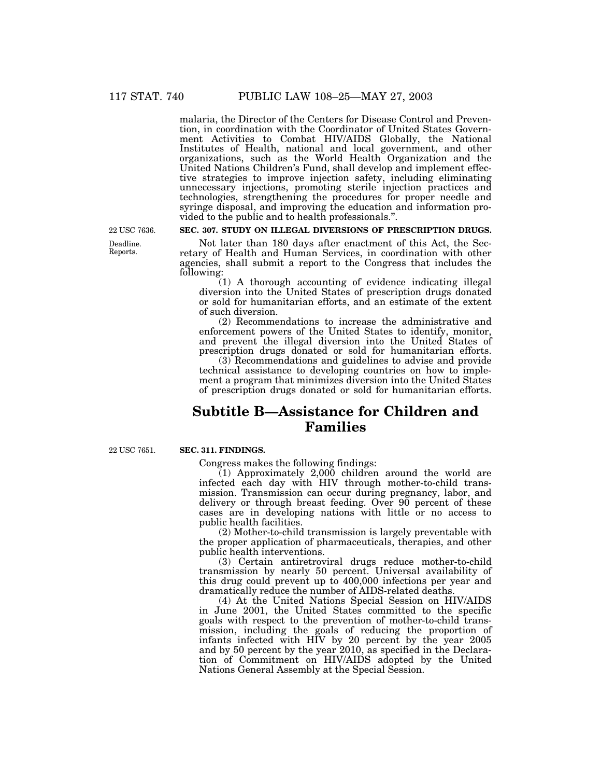malaria, the Director of the Centers for Disease Control and Prevention, in coordination with the Coordinator of United States Government Activities to Combat HIV/AIDS Globally, the National Institutes of Health, national and local government, and other organizations, such as the World Health Organization and the United Nations Children's Fund, shall develop and implement effective strategies to improve injection safety, including eliminating unnecessary injections, promoting sterile injection practices and technologies, strengthening the procedures for proper needle and syringe disposal, and improving the education and information provided to the public and to health professionals.''.

22 USC 7636.

## Deadline. Reports.

## **SEC. 307. STUDY ON ILLEGAL DIVERSIONS OF PRESCRIPTION DRUGS.**

Not later than 180 days after enactment of this Act, the Secretary of Health and Human Services, in coordination with other agencies, shall submit a report to the Congress that includes the following:

(1) A thorough accounting of evidence indicating illegal diversion into the United States of prescription drugs donated or sold for humanitarian efforts, and an estimate of the extent of such diversion.

(2) Recommendations to increase the administrative and enforcement powers of the United States to identify, monitor, and prevent the illegal diversion into the United States of prescription drugs donated or sold for humanitarian efforts.

(3) Recommendations and guidelines to advise and provide technical assistance to developing countries on how to implement a program that minimizes diversion into the United States of prescription drugs donated or sold for humanitarian efforts.

# **Subtitle B—Assistance for Children and Families**

22 USC 7651.

# **SEC. 311. FINDINGS.**

Congress makes the following findings:

(1) Approximately 2,000 children around the world are infected each day with HIV through mother-to-child transmission. Transmission can occur during pregnancy, labor, and delivery or through breast feeding. Over 90 percent of these cases are in developing nations with little or no access to public health facilities.

(2) Mother-to-child transmission is largely preventable with the proper application of pharmaceuticals, therapies, and other public health interventions.

(3) Certain antiretroviral drugs reduce mother-to-child transmission by nearly 50 percent. Universal availability of this drug could prevent up to 400,000 infections per year and dramatically reduce the number of AIDS-related deaths.

(4) At the United Nations Special Session on HIV/AIDS in June 2001, the United States committed to the specific goals with respect to the prevention of mother-to-child transmission, including the goals of reducing the proportion of infants infected with HIV by 20 percent by the year 2005 and by 50 percent by the year 2010, as specified in the Declaration of Commitment on HIV/AIDS adopted by the United Nations General Assembly at the Special Session.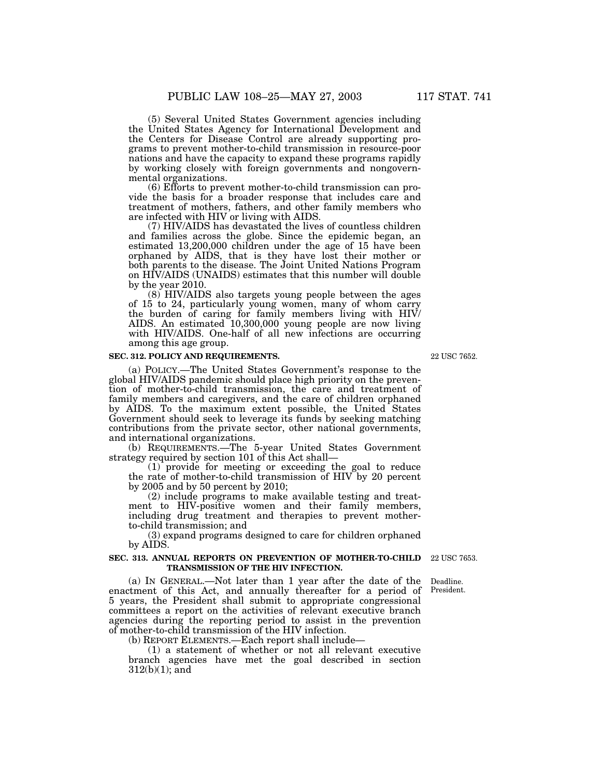(5) Several United States Government agencies including the United States Agency for International Development and the Centers for Disease Control are already supporting programs to prevent mother-to-child transmission in resource-poor nations and have the capacity to expand these programs rapidly by working closely with foreign governments and nongovernmental organizations.

(6) Efforts to prevent mother-to-child transmission can provide the basis for a broader response that includes care and treatment of mothers, fathers, and other family members who are infected with HIV or living with AIDS.

(7) HIV/AIDS has devastated the lives of countless children and families across the globe. Since the epidemic began, an estimated 13,200,000 children under the age of 15 have been orphaned by AIDS, that is they have lost their mother or both parents to the disease. The Joint United Nations Program on HIV/AIDS (UNAIDS) estimates that this number will double by the year 2010.

(8) HIV/AIDS also targets young people between the ages of 15 to 24, particularly young women, many of whom carry the burden of caring for family members living with HIV/ AIDS. An estimated 10,300,000 young people are now living with HIV/AIDS. One-half of all new infections are occurring among this age group.

# **SEC. 312. POLICY AND REQUIREMENTS.**

(a) POLICY.—The United States Government's response to the global HIV/AIDS pandemic should place high priority on the prevention of mother-to-child transmission, the care and treatment of family members and caregivers, and the care of children orphaned by AIDS. To the maximum extent possible, the United States Government should seek to leverage its funds by seeking matching contributions from the private sector, other national governments, and international organizations.

(b) REQUIREMENTS.—The 5-year United States Government strategy required by section 101 of this Act shall—

(1) provide for meeting or exceeding the goal to reduce the rate of mother-to-child transmission of HIV by 20 percent by 2005 and by 50 percent by 2010;

(2) include programs to make available testing and treatment to HIV-positive women and their family members, including drug treatment and therapies to prevent motherto-child transmission; and

(3) expand programs designed to care for children orphaned by AIDS.

#### **SEC. 313. ANNUAL REPORTS ON PREVENTION OF MOTHER-TO-CHILD** 22 USC 7653. **TRANSMISSION OF THE HIV INFECTION.**

(a) IN GENERAL.—Not later than 1 year after the date of the enactment of this Act, and annually thereafter for a period of 5 years, the President shall submit to appropriate congressional committees a report on the activities of relevant executive branch agencies during the reporting period to assist in the prevention of mother-to-child transmission of the HIV infection.

(b) REPORT ELEMENTS.—Each report shall include—

(1) a statement of whether or not all relevant executive branch agencies have met the goal described in section 312(b)(1); and

Deadline. President.

22 USC 7652.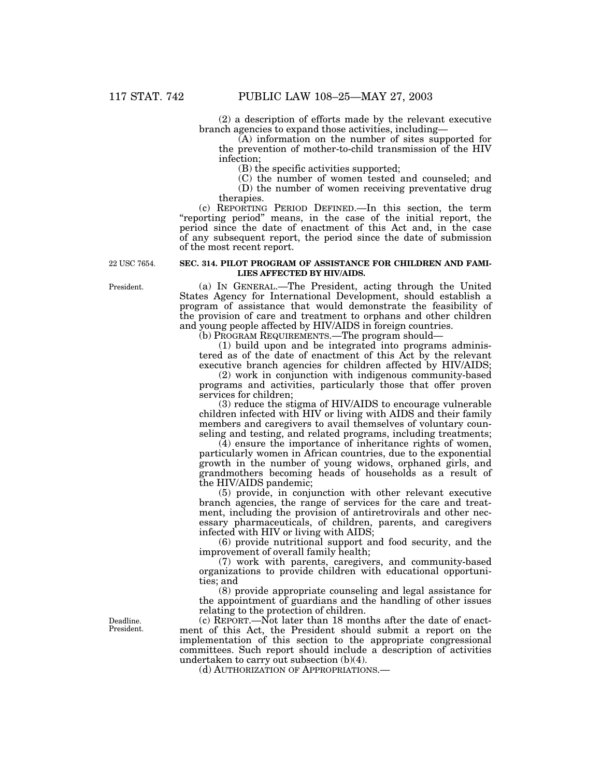(2) a description of efforts made by the relevant executive branch agencies to expand those activities, including—

(A) information on the number of sites supported for the prevention of mother-to-child transmission of the HIV infection;

(B) the specific activities supported;

(C) the number of women tested and counseled; and

(D) the number of women receiving preventative drug therapies.

(c) REPORTING PERIOD DEFINED.—In this section, the term ''reporting period'' means, in the case of the initial report, the period since the date of enactment of this Act and, in the case of any subsequent report, the period since the date of submission of the most recent report.

22 USC 7654.

### **SEC. 314. PILOT PROGRAM OF ASSISTANCE FOR CHILDREN AND FAMI-LIES AFFECTED BY HIV/AIDS.**

(a) IN GENERAL.—The President, acting through the United States Agency for International Development, should establish a program of assistance that would demonstrate the feasibility of the provision of care and treatment to orphans and other children and young people affected by HIV/AIDS in foreign countries.

(b) PROGRAM REQUIREMENTS.—The program should—

(1) build upon and be integrated into programs administered as of the date of enactment of this Act by the relevant executive branch agencies for children affected by HIV/AIDS;

(2) work in conjunction with indigenous community-based programs and activities, particularly those that offer proven services for children;

(3) reduce the stigma of HIV/AIDS to encourage vulnerable children infected with HIV or living with AIDS and their family members and caregivers to avail themselves of voluntary counseling and testing, and related programs, including treatments;

(4) ensure the importance of inheritance rights of women, particularly women in African countries, due to the exponential growth in the number of young widows, orphaned girls, and grandmothers becoming heads of households as a result of the HIV/AIDS pandemic;

(5) provide, in conjunction with other relevant executive branch agencies, the range of services for the care and treatment, including the provision of antiretrovirals and other necessary pharmaceuticals, of children, parents, and caregivers infected with HIV or living with AIDS;

(6) provide nutritional support and food security, and the improvement of overall family health;

(7) work with parents, caregivers, and community-based organizations to provide children with educational opportunities; and

(8) provide appropriate counseling and legal assistance for the appointment of guardians and the handling of other issues relating to the protection of children.

(c) REPORT.—Not later than 18 months after the date of enactment of this Act, the President should submit a report on the implementation of this section to the appropriate congressional committees. Such report should include a description of activities undertaken to carry out subsection (b)(4).

(d) AUTHORIZATION OF APPROPRIATIONS.—

President.

Deadline. President.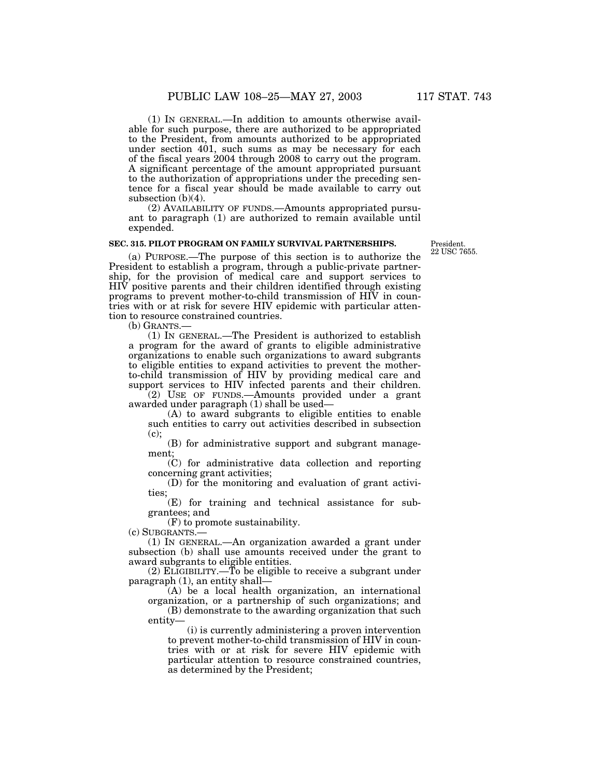(1) IN GENERAL.—In addition to amounts otherwise available for such purpose, there are authorized to be appropriated to the President, from amounts authorized to be appropriated under section 401, such sums as may be necessary for each of the fiscal years 2004 through 2008 to carry out the program. A significant percentage of the amount appropriated pursuant to the authorization of appropriations under the preceding sentence for a fiscal year should be made available to carry out subsection (b)(4).

(2) AVAILABILITY OF FUNDS.—Amounts appropriated pursuant to paragraph (1) are authorized to remain available until expended.

### **SEC. 315. PILOT PROGRAM ON FAMILY SURVIVAL PARTNERSHIPS.**

President. 22 USC 7655.

(a) PURPOSE.—The purpose of this section is to authorize the President to establish a program, through a public-private partnership, for the provision of medical care and support services to  $HHV$  positive parents and their children identified through existing programs to prevent mother-to-child transmission of HIV in countries with or at risk for severe HIV epidemic with particular attention to resource constrained countries.

(b) GRANTS.—

(1) IN GENERAL.—The President is authorized to establish a program for the award of grants to eligible administrative organizations to enable such organizations to award subgrants to eligible entities to expand activities to prevent the motherto-child transmission of HIV by providing medical care and support services to HIV infected parents and their children.

(2) USE OF FUNDS.—Amounts provided under a grant awarded under paragraph (1) shall be used—

(A) to award subgrants to eligible entities to enable such entities to carry out activities described in subsection (c);

(B) for administrative support and subgrant management;

(C) for administrative data collection and reporting concerning grant activities;

(D) for the monitoring and evaluation of grant activities;

(E) for training and technical assistance for subgrantees; and

(F) to promote sustainability.

(c) SUBGRANTS.—

(1) IN GENERAL.—An organization awarded a grant under subsection (b) shall use amounts received under the grant to award subgrants to eligible entities.

(2) ELIGIBILITY.—To be eligible to receive a subgrant under paragraph (1), an entity shall—

(A) be a local health organization, an international organization, or a partnership of such organizations; and

(B) demonstrate to the awarding organization that such entity—

(i) is currently administering a proven intervention to prevent mother-to-child transmission of HIV in countries with or at risk for severe HIV epidemic with particular attention to resource constrained countries, as determined by the President;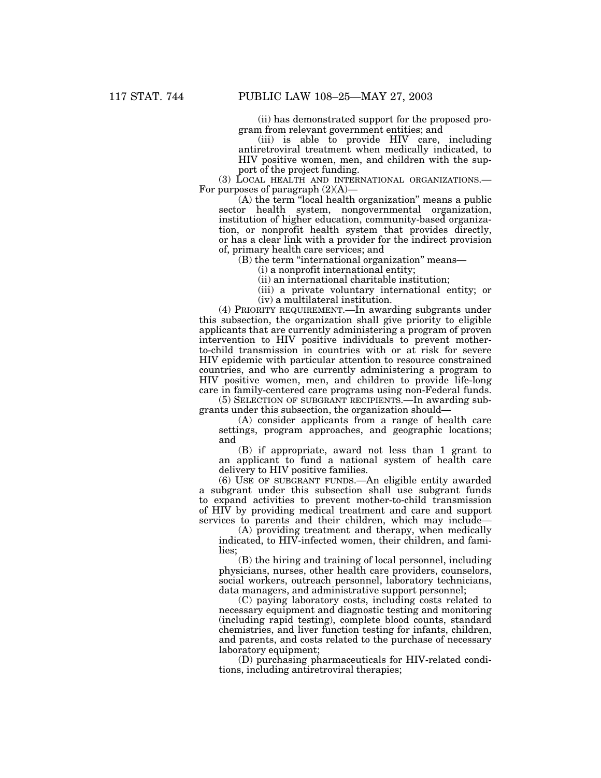(ii) has demonstrated support for the proposed program from relevant government entities; and

(iii) is able to provide HIV care, including antiretroviral treatment when medically indicated, to HIV positive women, men, and children with the support of the project funding.

(3) LOCAL HEALTH AND INTERNATIONAL ORGANIZATIONS.— For purposes of paragraph  $(2)(A)$ —

(A) the term ''local health organization'' means a public sector health system, nongovernmental organization, institution of higher education, community-based organization, or nonprofit health system that provides directly, or has a clear link with a provider for the indirect provision of, primary health care services; and

(B) the term ''international organization'' means—

(i) a nonprofit international entity;

(ii) an international charitable institution;

(iii) a private voluntary international entity; or (iv) a multilateral institution.

(4) PRIORITY REQUIREMENT.—In awarding subgrants under this subsection, the organization shall give priority to eligible applicants that are currently administering a program of proven intervention to HIV positive individuals to prevent motherto-child transmission in countries with or at risk for severe HIV epidemic with particular attention to resource constrained countries, and who are currently administering a program to HIV positive women, men, and children to provide life-long care in family-centered care programs using non-Federal funds.

(5) SELECTION OF SUBGRANT RECIPIENTS.—In awarding subgrants under this subsection, the organization should—

(A) consider applicants from a range of health care settings, program approaches, and geographic locations; and

(B) if appropriate, award not less than 1 grant to an applicant to fund a national system of health care delivery to HIV positive families.

(6) USE OF SUBGRANT FUNDS.—An eligible entity awarded a subgrant under this subsection shall use subgrant funds to expand activities to prevent mother-to-child transmission of HIV by providing medical treatment and care and support services to parents and their children, which may include—

(A) providing treatment and therapy, when medically indicated, to HIV-infected women, their children, and families;

(B) the hiring and training of local personnel, including physicians, nurses, other health care providers, counselors, social workers, outreach personnel, laboratory technicians, data managers, and administrative support personnel;

(C) paying laboratory costs, including costs related to necessary equipment and diagnostic testing and monitoring (including rapid testing), complete blood counts, standard chemistries, and liver function testing for infants, children, and parents, and costs related to the purchase of necessary laboratory equipment;

(D) purchasing pharmaceuticals for HIV-related conditions, including antiretroviral therapies;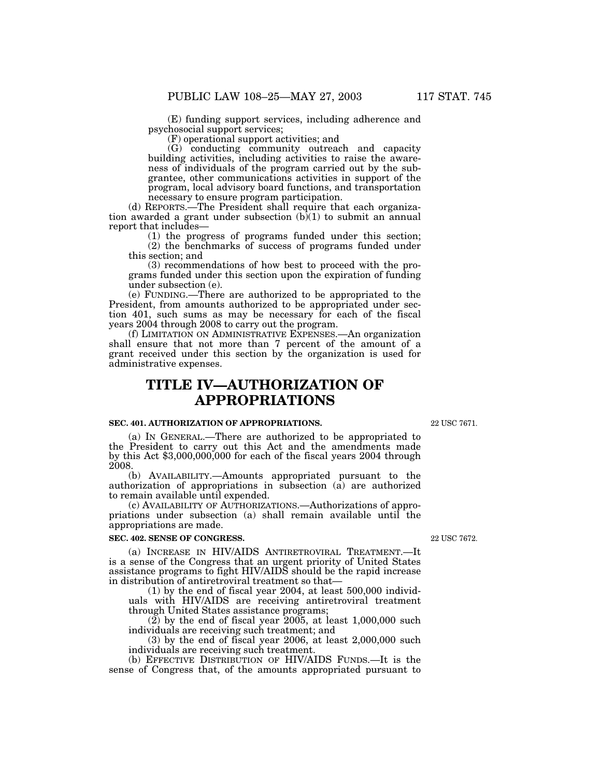(E) funding support services, including adherence and psychosocial support services;

(F) operational support activities; and

(G) conducting community outreach and capacity building activities, including activities to raise the awareness of individuals of the program carried out by the subgrantee, other communications activities in support of the program, local advisory board functions, and transportation necessary to ensure program participation.

(d) REPORTS.—The President shall require that each organization awarded a grant under subsection  $(b)(1)$  to submit an annual report that includes—

(1) the progress of programs funded under this section; (2) the benchmarks of success of programs funded under

this section; and

(3) recommendations of how best to proceed with the programs funded under this section upon the expiration of funding under subsection (e).

(e) FUNDING.—There are authorized to be appropriated to the President, from amounts authorized to be appropriated under section 401, such sums as may be necessary for each of the fiscal years 2004 through 2008 to carry out the program.

(f) LIMITATION ON ADMINISTRATIVE EXPENSES.—An organization shall ensure that not more than 7 percent of the amount of a grant received under this section by the organization is used for administrative expenses.

# **TITLE IV—AUTHORIZATION OF APPROPRIATIONS**

# **SEC. 401. AUTHORIZATION OF APPROPRIATIONS.**

22 USC 7671.

(a) IN GENERAL.—There are authorized to be appropriated to the President to carry out this Act and the amendments made by this Act \$3,000,000,000 for each of the fiscal years 2004 through 2008.

(b) AVAILABILITY.—Amounts appropriated pursuant to the authorization of appropriations in subsection (a) are authorized to remain available until expended.

(c) AVAILABILITY OF AUTHORIZATIONS.—Authorizations of appropriations under subsection (a) shall remain available until the appropriations are made.

#### **SEC. 402. SENSE OF CONGRESS.**

(a) INCREASE IN HIV/AIDS ANTIRETROVIRAL TREATMENT.—It is a sense of the Congress that an urgent priority of United States assistance programs to fight HIV/AIDS should be the rapid increase in distribution of antiretroviral treatment so that—

(1) by the end of fiscal year 2004, at least 500,000 individuals with HIV/AIDS are receiving antiretroviral treatment through United States assistance programs;

 $(2)$  by the end of fiscal year 2005, at least 1,000,000 such individuals are receiving such treatment; and

(3) by the end of fiscal year 2006, at least 2,000,000 such individuals are receiving such treatment.

(b) EFFECTIVE DISTRIBUTION OF HIV/AIDS FUNDS.—It is the sense of Congress that, of the amounts appropriated pursuant to

22 USC 7672.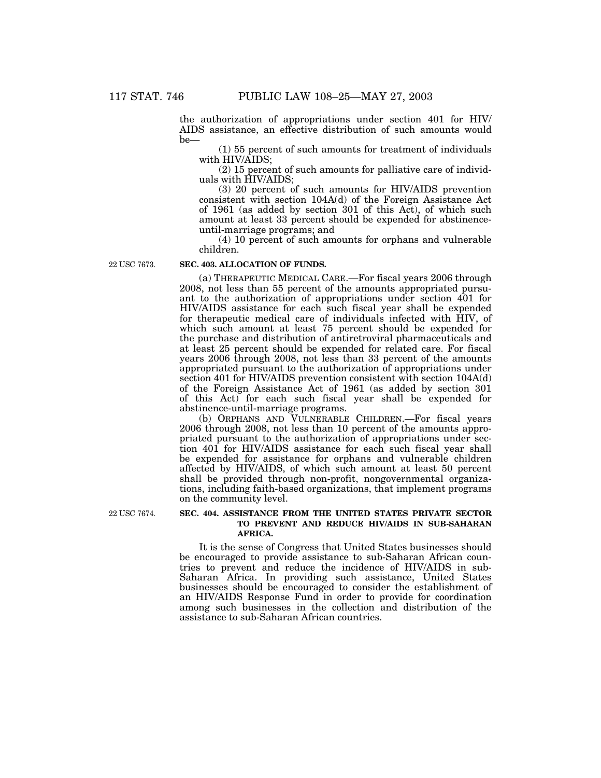the authorization of appropriations under section 401 for HIV/ AIDS assistance, an effective distribution of such amounts would be—

(1) 55 percent of such amounts for treatment of individuals with HIV/AIDS;

(2) 15 percent of such amounts for palliative care of individuals with HIV/AIDS;

(3) 20 percent of such amounts for HIV/AIDS prevention consistent with section 104A(d) of the Foreign Assistance Act of 1961 (as added by section 301 of this Act), of which such amount at least 33 percent should be expended for abstinenceuntil-marriage programs; and

(4) 10 percent of such amounts for orphans and vulnerable children.

22 USC 7673.

### **SEC. 403. ALLOCATION OF FUNDS.**

(a) THERAPEUTIC MEDICAL CARE.—For fiscal years 2006 through 2008, not less than 55 percent of the amounts appropriated pursuant to the authorization of appropriations under section 401 for HIV/AIDS assistance for each such fiscal year shall be expended for therapeutic medical care of individuals infected with HIV, of which such amount at least 75 percent should be expended for the purchase and distribution of antiretroviral pharmaceuticals and at least 25 percent should be expended for related care. For fiscal years 2006 through 2008, not less than 33 percent of the amounts appropriated pursuant to the authorization of appropriations under section 401 for HIV/AIDS prevention consistent with section 104A(d) of the Foreign Assistance Act of 1961 (as added by section 301 of this Act) for each such fiscal year shall be expended for abstinence-until-marriage programs.

(b) ORPHANS AND VULNERABLE CHILDREN.—For fiscal years 2006 through 2008, not less than 10 percent of the amounts appropriated pursuant to the authorization of appropriations under section 401 for HIV/AIDS assistance for each such fiscal year shall be expended for assistance for orphans and vulnerable children affected by HIV/AIDS, of which such amount at least 50 percent shall be provided through non-profit, nongovernmental organizations, including faith-based organizations, that implement programs on the community level.

22 USC 7674.

### **SEC. 404. ASSISTANCE FROM THE UNITED STATES PRIVATE SECTOR TO PREVENT AND REDUCE HIV/AIDS IN SUB-SAHARAN AFRICA.**

It is the sense of Congress that United States businesses should be encouraged to provide assistance to sub-Saharan African countries to prevent and reduce the incidence of HIV/AIDS in sub-Saharan Africa. In providing such assistance, United States businesses should be encouraged to consider the establishment of an HIV/AIDS Response Fund in order to provide for coordination among such businesses in the collection and distribution of the assistance to sub-Saharan African countries.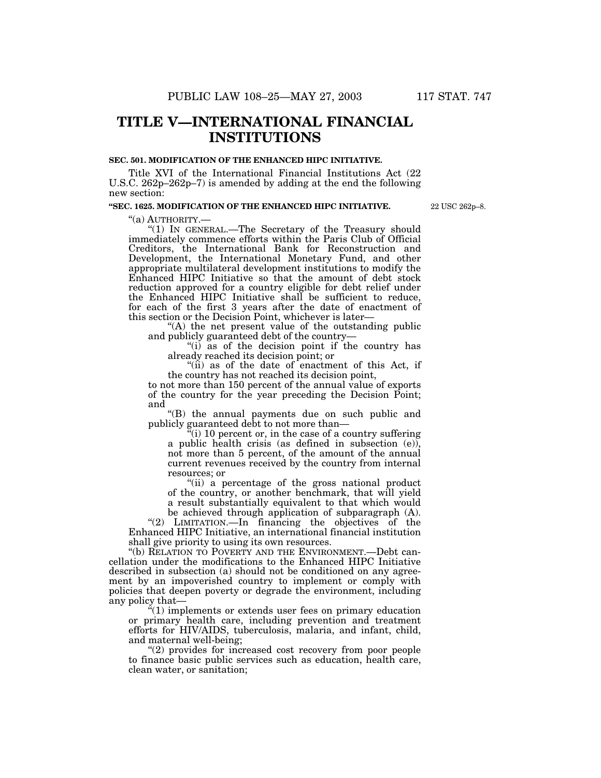# **TITLE V—INTERNATIONAL FINANCIAL INSTITUTIONS**

#### **SEC. 501. MODIFICATION OF THE ENHANCED HIPC INITIATIVE.**

Title XVI of the International Financial Institutions Act (22 U.S.C. 262p–262p–7) is amended by adding at the end the following new section:

# **''SEC. 1625. MODIFICATION OF THE ENHANCED HIPC INITIATIVE.**

22 USC 262p–8.

''(a) AUTHORITY.— ''(1) IN GENERAL.—The Secretary of the Treasury should immediately commence efforts within the Paris Club of Official Creditors, the International Bank for Reconstruction and Development, the International Monetary Fund, and other appropriate multilateral development institutions to modify the Enhanced HIPC Initiative so that the amount of debt stock reduction approved for a country eligible for debt relief under the Enhanced HIPC Initiative shall be sufficient to reduce, for each of the first 3 years after the date of enactment of this section or the Decision Point, whichever is later—

''(A) the net present value of the outstanding public and publicly guaranteed debt of the country—

"(i) as of the decision point if the country has already reached its decision point; or

''(ii) as of the date of enactment of this Act, if the country has not reached its decision point,

to not more than 150 percent of the annual value of exports of the country for the year preceding the Decision Point; and

''(B) the annual payments due on such public and publicly guaranteed debt to not more than—

 $\mathbf{u}^{\mathbf{u}}$ (i) 10 percent or, in the case of a country suffering a public health crisis (as defined in subsection (e)), not more than 5 percent, of the amount of the annual current revenues received by the country from internal resources; or

"(ii) a percentage of the gross national product of the country, or another benchmark, that will yield a result substantially equivalent to that which would be achieved through application of subparagraph (A).

''(2) LIMITATION.—In financing the objectives of the Enhanced HIPC Initiative, an international financial institution shall give priority to using its own resources.

"(b) RELATION TO POVERTY AND THE ENVIRONMENT.—Debt cancellation under the modifications to the Enhanced HIPC Initiative described in subsection (a) should not be conditioned on any agreement by an impoverished country to implement or comply with policies that deepen poverty or degrade the environment, including any policy that—

 $\ddot{H}(1)$  implements or extends user fees on primary education or primary health care, including prevention and treatment efforts for HIV/AIDS, tuberculosis, malaria, and infant, child, and maternal well-being;

''(2) provides for increased cost recovery from poor people to finance basic public services such as education, health care, clean water, or sanitation;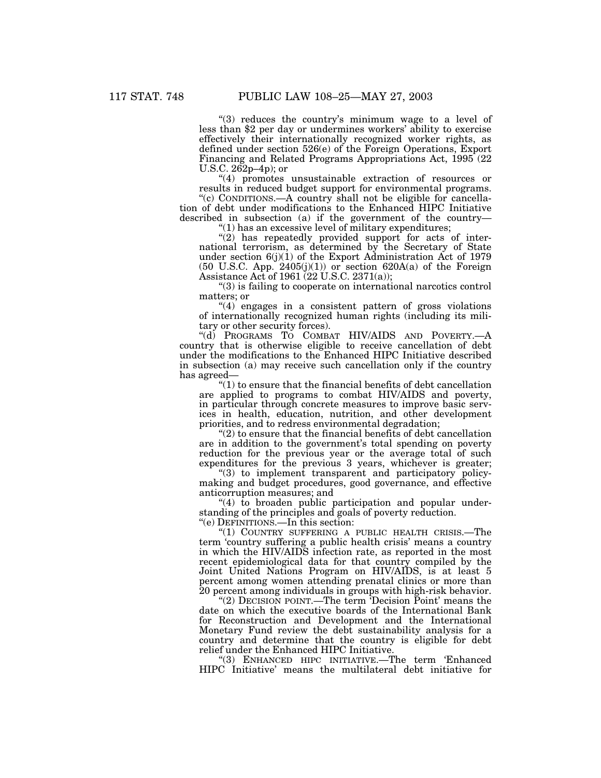''(3) reduces the country's minimum wage to a level of less than \$2 per day or undermines workers' ability to exercise effectively their internationally recognized worker rights, as defined under section 526(e) of the Foreign Operations, Export Financing and Related Programs Appropriations Act, 1995 (22 U.S.C. 262p–4p); or

''(4) promotes unsustainable extraction of resources or results in reduced budget support for environmental programs.

"(c) CONDITIONS.—A country shall not be eligible for cancellation of debt under modifications to the Enhanced HIPC Initiative described in subsection (a) if the government of the country—

"(1) has an excessive level of military expenditures;

"(2) has repeatedly provided support for acts of international terrorism, as determined by the Secretary of State under section  $6(j)(1)$  of the Export Administration Act of 1979  $(50 \text{ U.S.C. App. } 2405(j)(1))$  or section  $620A(a)$  of the Foreign Assistance Act of 1961 (22 U.S.C. 2371(a));

''(3) is failing to cooperate on international narcotics control matters; or

 $''(4)$  engages in a consistent pattern of gross violations of internationally recognized human rights (including its military or other security forces).

"(d) PROGRAMS TO COMBAT HIV/AIDS AND POVERTY.country that is otherwise eligible to receive cancellation of debt under the modifications to the Enhanced HIPC Initiative described in subsection (a) may receive such cancellation only if the country has agreed—

 $''(1)$  to ensure that the financial benefits of debt cancellation are applied to programs to combat HIV/AIDS and poverty, in particular through concrete measures to improve basic services in health, education, nutrition, and other development priorities, and to redress environmental degradation;

 $''(2)$  to ensure that the financial benefits of debt cancellation are in addition to the government's total spending on poverty reduction for the previous year or the average total of such expenditures for the previous 3 years, whichever is greater;

"(3) to implement transparent and participatory policymaking and budget procedures, good governance, and effective anticorruption measures; and

"(4) to broaden public participation and popular understanding of the principles and goals of poverty reduction.

''(e) DEFINITIONS.—In this section:

''(1) COUNTRY SUFFERING A PUBLIC HEALTH CRISIS.—The term 'country suffering a public health crisis' means a country in which the HIV/AIDS infection rate, as reported in the most recent epidemiological data for that country compiled by the Joint United Nations Program on HIV/AIDS, is at least 5 percent among women attending prenatal clinics or more than 20 percent among individuals in groups with high-risk behavior.

"(2) DECISION POINT.—The term 'Decision Point' means the date on which the executive boards of the International Bank for Reconstruction and Development and the International Monetary Fund review the debt sustainability analysis for a country and determine that the country is eligible for debt relief under the Enhanced HIPC Initiative.

''(3) ENHANCED HIPC INITIATIVE.—The term 'Enhanced HIPC Initiative' means the multilateral debt initiative for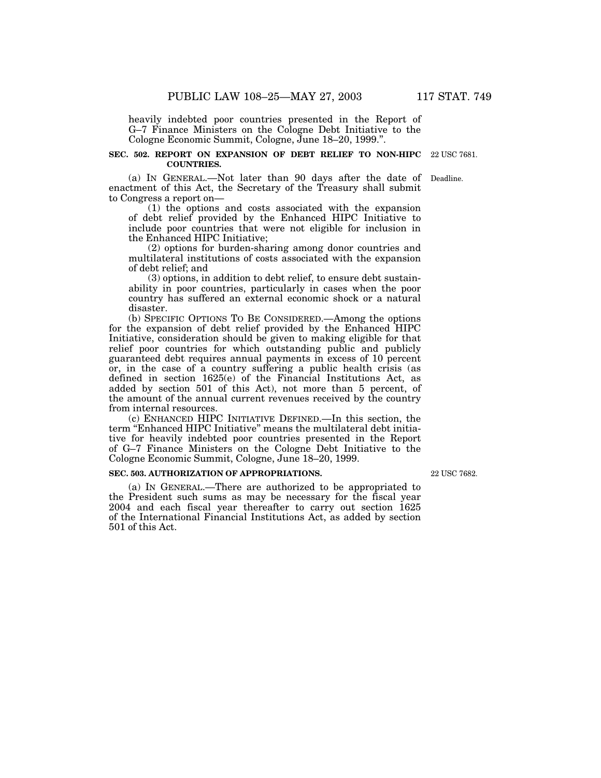heavily indebted poor countries presented in the Report of G–7 Finance Ministers on the Cologne Debt Initiative to the Cologne Economic Summit, Cologne, June 18–20, 1999.''.

#### **SEC. 502. REPORT ON EXPANSION OF DEBT RELIEF TO NON-HIPC** 22 USC 7681. **COUNTRIES.**

(a) IN GENERAL.—Not later than 90 days after the date of Deadline. enactment of this Act, the Secretary of the Treasury shall submit to Congress a report on—

(1) the options and costs associated with the expansion of debt relief provided by the Enhanced HIPC Initiative to include poor countries that were not eligible for inclusion in the Enhanced HIPC Initiative;

(2) options for burden-sharing among donor countries and multilateral institutions of costs associated with the expansion of debt relief; and

(3) options, in addition to debt relief, to ensure debt sustainability in poor countries, particularly in cases when the poor country has suffered an external economic shock or a natural disaster.

(b) SPECIFIC OPTIONS TO BE CONSIDERED.—Among the options for the expansion of debt relief provided by the Enhanced HIPC Initiative, consideration should be given to making eligible for that relief poor countries for which outstanding public and publicly guaranteed debt requires annual payments in excess of 10 percent or, in the case of a country suffering a public health crisis (as defined in section 1625(e) of the Financial Institutions Act, as added by section 501 of this Act), not more than 5 percent, of the amount of the annual current revenues received by the country from internal resources.

(c) ENHANCED HIPC INITIATIVE DEFINED.—In this section, the term ''Enhanced HIPC Initiative'' means the multilateral debt initiative for heavily indebted poor countries presented in the Report of G–7 Finance Ministers on the Cologne Debt Initiative to the Cologne Economic Summit, Cologne, June 18–20, 1999.

#### **SEC. 503. AUTHORIZATION OF APPROPRIATIONS.**

(a) IN GENERAL.—There are authorized to be appropriated to the President such sums as may be necessary for the fiscal year 2004 and each fiscal year thereafter to carry out section 1625 of the International Financial Institutions Act, as added by section 501 of this Act.

22 USC 7682.